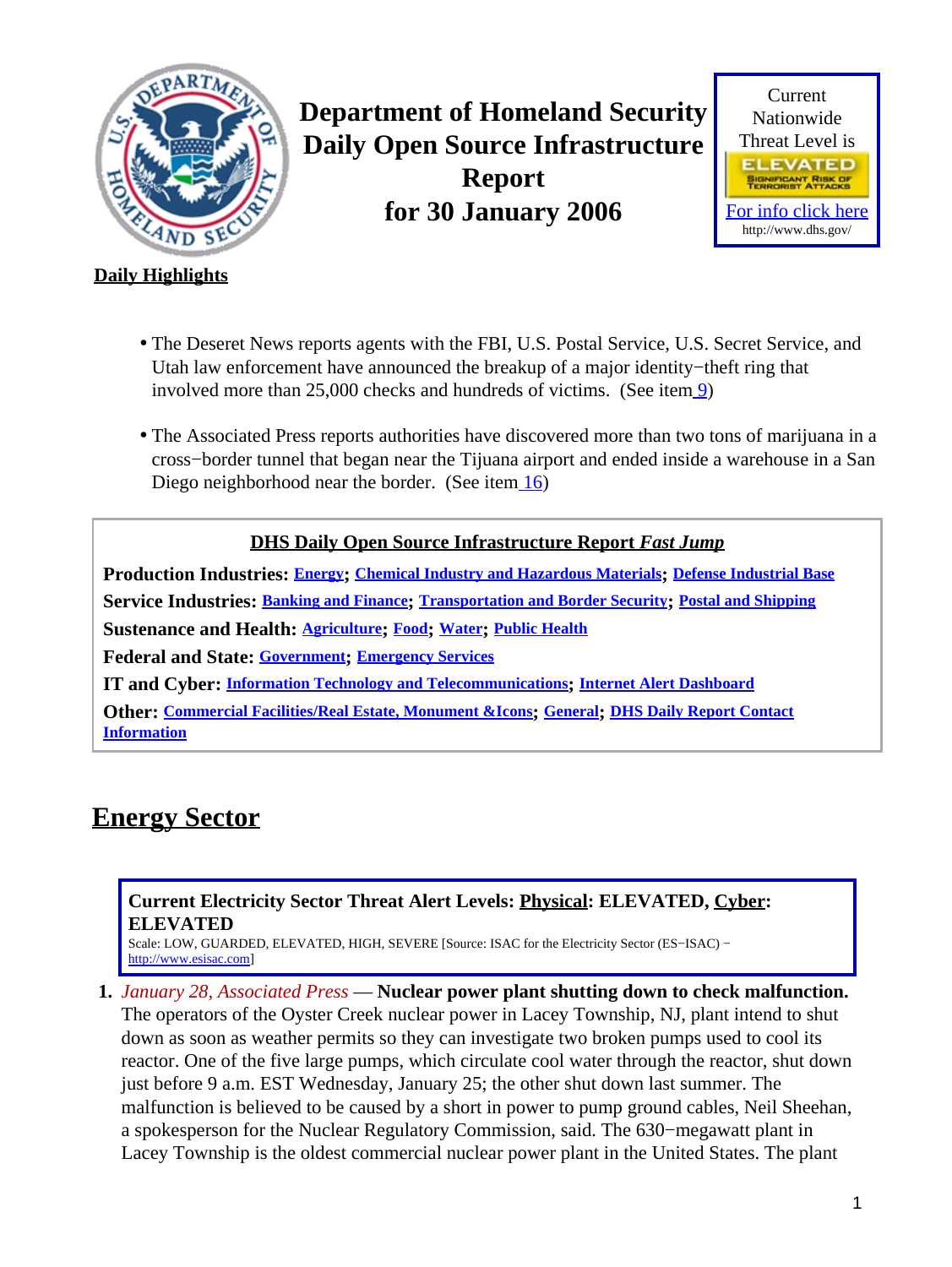<span id="page-0-1"></span>

**Department of Homeland Security Daily Open Source Infrastructure Report for 30 January 2006**



### **Daily Highlights**

- The Deseret News reports agents with the FBI, U.S. Postal Service, U.S. Secret Service, and Utah law enforcement have announced the breakup of a major identity−theft ring that involved more than 25,000 checks and hundreds of victims. (See ite[m 9](#page-3-0))
- The Associated Press reports authorities have discovered more than two tons of marijuana in a cross−border tunnel that began near the Tijuana airport and ended inside a warehouse in a San Diego neighborhood near the border. (See item  $\frac{16}{2}$ )

### **DHS Daily Open Source Infrastructure Report** *Fast Jump*

**Production Industries: [Energy](#page-0-0); [Chemical Industry and Hazardous Materials](#page-2-0); [Defense Industrial Base](#page-2-1) Service Industries: [Banking and Finance](#page-3-1); [Transportation and Border Security](#page-5-0); [Postal and Shipping](#page-6-1) Sustenance and Health: [Agriculture](#page-6-2); [Food](#page-7-0); [Water](#page-9-0); [Public Health](#page-9-1) Federal and State: [Government](#page-11-0); [Emergency Services](#page-11-1) IT and Cyber: [Information Technology and Telecommunications](#page-13-0); [Internet Alert Dashboard](#page-16-0)**

**Other: [Commercial Facilities/Real Estate, Monument &Icons](#page-17-0); [General](#page-18-0); [DHS Daily Report Contact](#page-18-1) [Information](#page-18-1)**

# <span id="page-0-0"></span>**Energy Sector**

### **Current Electricity Sector Threat Alert Levels: Physical: ELEVATED, Cyber: ELEVATED**

Scale: LOW, GUARDED, ELEVATED, HIGH, SEVERE [Source: ISAC for the Electricity Sector (ES−ISAC) − [http://www.esisac.com](http://esisac.com)]

**1.** *January 28, Associated Press* — **Nuclear power plant shutting down to check malfunction.**

The operators of the Oyster Creek nuclear power in Lacey Township, NJ, plant intend to shut down as soon as weather permits so they can investigate two broken pumps used to cool its reactor. One of the five large pumps, which circulate cool water through the reactor, shut down just before 9 a.m. EST Wednesday, January 25; the other shut down last summer. The malfunction is believed to be caused by a short in power to pump ground cables, Neil Sheehan, a spokesperson for the Nuclear Regulatory Commission, said. The 630−megawatt plant in Lacey Township is the oldest commercial nuclear power plant in the United States. The plant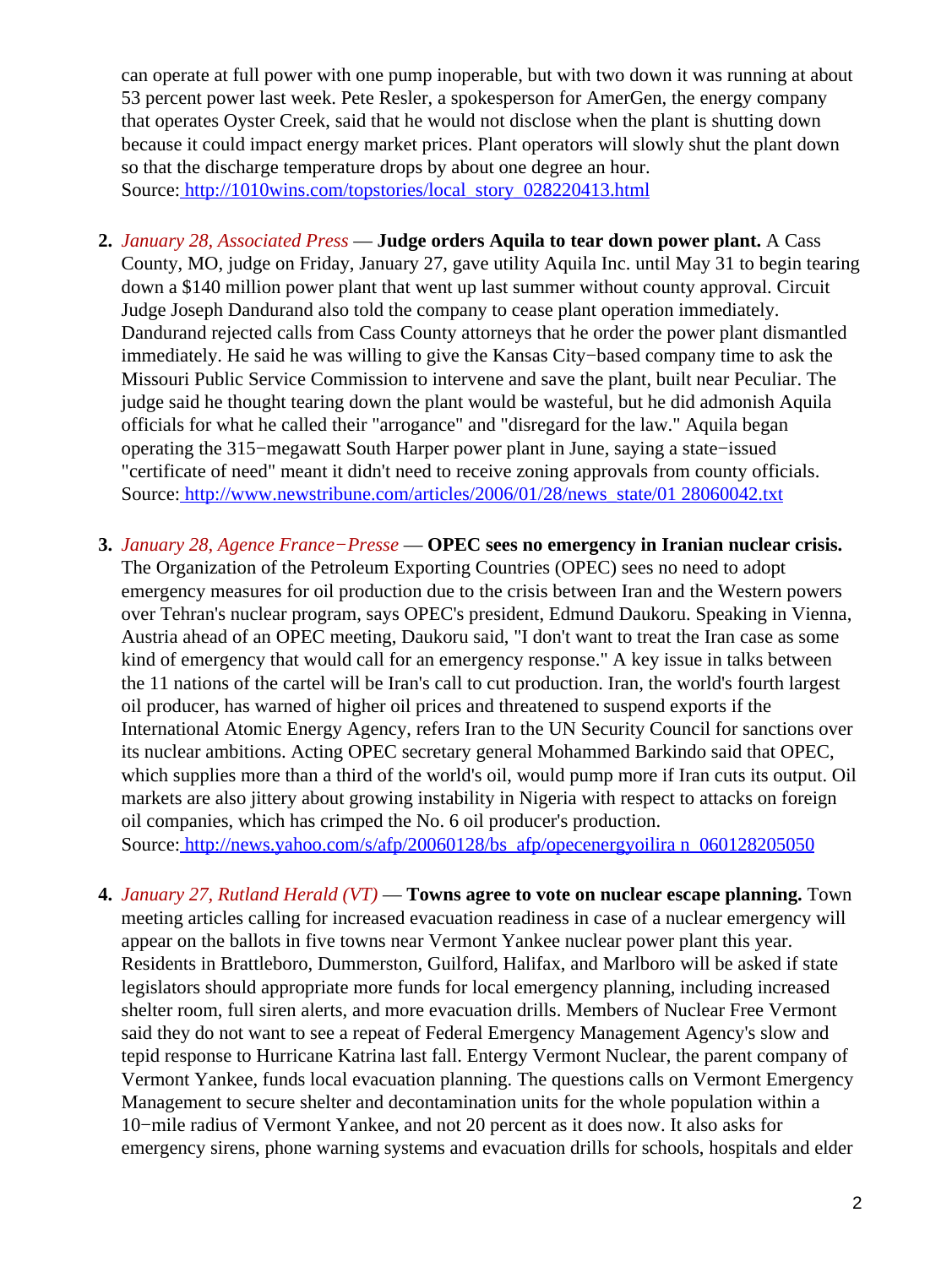can operate at full power with one pump inoperable, but with two down it was running at about 53 percent power last week. Pete Resler, a spokesperson for AmerGen, the energy company that operates Oyster Creek, said that he would not disclose when the plant is shutting down because it could impact energy market prices. Plant operators will slowly shut the plant down so that the discharge temperature drops by about one degree an hour. Source[: http://1010wins.com/topstories/local\\_story\\_028220413.html](http://1010wins.com/topstories/local_story_028220413.html)

- **2.** *January 28, Associated Press* — **Judge orders Aquila to tear down power plant.** A Cass County, MO, judge on Friday, January 27, gave utility Aquila Inc. until May 31 to begin tearing down a \$140 million power plant that went up last summer without county approval. Circuit Judge Joseph Dandurand also told the company to cease plant operation immediately. Dandurand rejected calls from Cass County attorneys that he order the power plant dismantled immediately. He said he was willing to give the Kansas City−based company time to ask the Missouri Public Service Commission to intervene and save the plant, built near Peculiar. The judge said he thought tearing down the plant would be wasteful, but he did admonish Aquila officials for what he called their "arrogance" and "disregard for the law." Aquila began operating the 315−megawatt South Harper power plant in June, saying a state−issued "certificate of need" meant it didn't need to receive zoning approvals from county officials. Source[: http://www.newstribune.com/articles/2006/01/28/news\\_state/01 28060042.txt](http://www.newstribune.com/articles/2006/01/28/news_state/0128060042.txt)
- **3.** *January 28, Agence France−Presse* — **OPEC sees no emergency in Iranian nuclear crisis.** The Organization of the Petroleum Exporting Countries (OPEC) sees no need to adopt emergency measures for oil production due to the crisis between Iran and the Western powers over Tehran's nuclear program, says OPEC's president, Edmund Daukoru. Speaking in Vienna, Austria ahead of an OPEC meeting, Daukoru said, "I don't want to treat the Iran case as some kind of emergency that would call for an emergency response." A key issue in talks between the 11 nations of the cartel will be Iran's call to cut production. Iran, the world's fourth largest oil producer, has warned of higher oil prices and threatened to suspend exports if the International Atomic Energy Agency, refers Iran to the UN Security Council for sanctions over its nuclear ambitions. Acting OPEC secretary general Mohammed Barkindo said that OPEC, which supplies more than a third of the world's oil, would pump more if Iran cuts its output. Oil markets are also jittery about growing instability in Nigeria with respect to attacks on foreign oil companies, which has crimped the No. 6 oil producer's production. Source[: http://news.yahoo.com/s/afp/20060128/bs\\_afp/opecenergyoilira n\\_060128205050](http://news.yahoo.com/s/afp/20060128/bs_afp/opecenergyoiliran_060128205050)
- **4.** *January 27, Rutland Herald (VT)* — **Towns agree to vote on nuclear escape planning.** Town meeting articles calling for increased evacuation readiness in case of a nuclear emergency will appear on the ballots in five towns near Vermont Yankee nuclear power plant this year. Residents in Brattleboro, Dummerston, Guilford, Halifax, and Marlboro will be asked if state legislators should appropriate more funds for local emergency planning, including increased shelter room, full siren alerts, and more evacuation drills. Members of Nuclear Free Vermont said they do not want to see a repeat of Federal Emergency Management Agency's slow and tepid response to Hurricane Katrina last fall. Entergy Vermont Nuclear, the parent company of Vermont Yankee, funds local evacuation planning. The questions calls on Vermont Emergency Management to secure shelter and decontamination units for the whole population within a 10−mile radius of Vermont Yankee, and not 20 percent as it does now. It also asks for emergency sirens, phone warning systems and evacuation drills for schools, hospitals and elder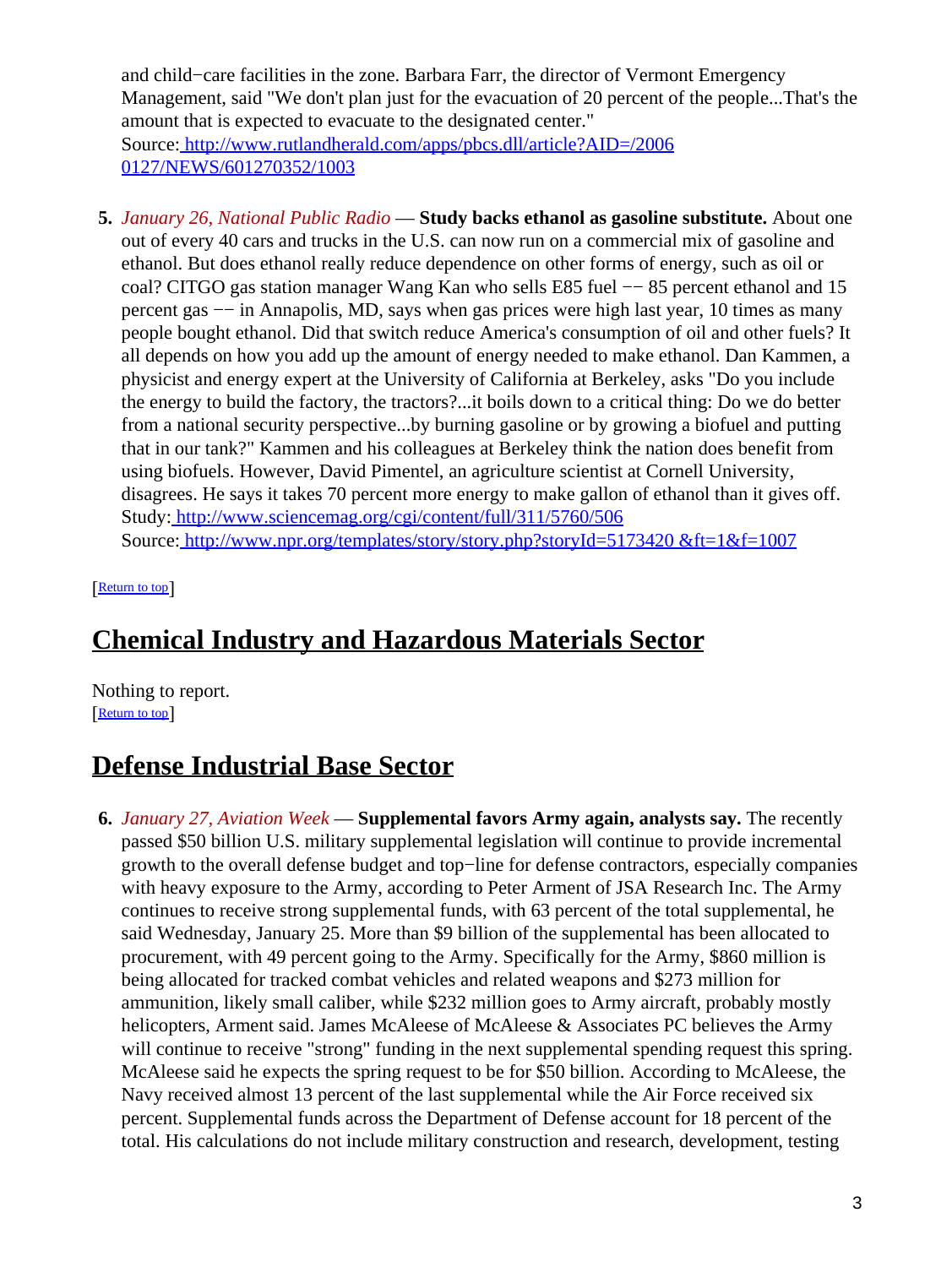and child−care facilities in the zone. Barbara Farr, the director of Vermont Emergency Management, said "We don't plan just for the evacuation of 20 percent of the people...That's the amount that is expected to evacuate to the designated center." Source[: http://www.rutlandherald.com/apps/pbcs.dll/article?AID=/2006](http://www.rutlandherald.com/apps/pbcs.dll/article?AID=/20060127/NEWS/601270352/1003) [0127/NEWS/601270352/1003](http://www.rutlandherald.com/apps/pbcs.dll/article?AID=/20060127/NEWS/601270352/1003)

**5.** *January 26, National Public Radio* — **Study backs ethanol as gasoline substitute.** About one out of every 40 cars and trucks in the U.S. can now run on a commercial mix of gasoline and ethanol. But does ethanol really reduce dependence on other forms of energy, such as oil or coal? CITGO gas station manager Wang Kan who sells E85 fuel −− 85 percent ethanol and 15 percent gas −− in Annapolis, MD, says when gas prices were high last year, 10 times as many people bought ethanol. Did that switch reduce America's consumption of oil and other fuels? It all depends on how you add up the amount of energy needed to make ethanol. Dan Kammen, a physicist and energy expert at the University of California at Berkeley, asks "Do you include the energy to build the factory, the tractors?...it boils down to a critical thing: Do we do better from a national security perspective...by burning gasoline or by growing a biofuel and putting that in our tank?" Kammen and his colleagues at Berkeley think the nation does benefit from using biofuels. However, David Pimentel, an agriculture scientist at Cornell University, disagrees. He says it takes 70 percent more energy to make gallon of ethanol than it gives off. Study[: http://www.sciencemag.org/cgi/content/full/311/5760/506](http://www.sciencemag.org/cgi/content/full/311/5760/506) Source[: http://www.npr.org/templates/story/story.php?storyId=5173420 &ft=1&f=1007](http://www.npr.org/templates/story/story.php?storyId=5173420&ft=1&f=1007)

[[Return to top](#page-0-1)]

# <span id="page-2-0"></span>**Chemical Industry and Hazardous Materials Sector**

Nothing to report. [[Return to top](#page-0-1)]

# <span id="page-2-1"></span>**Defense Industrial Base Sector**

**6.** *January 27, Aviation Week* — **Supplemental favors Army again, analysts say.** The recently passed \$50 billion U.S. military supplemental legislation will continue to provide incremental growth to the overall defense budget and top−line for defense contractors, especially companies with heavy exposure to the Army, according to Peter Arment of JSA Research Inc. The Army continues to receive strong supplemental funds, with 63 percent of the total supplemental, he said Wednesday, January 25. More than \$9 billion of the supplemental has been allocated to procurement, with 49 percent going to the Army. Specifically for the Army, \$860 million is being allocated for tracked combat vehicles and related weapons and \$273 million for ammunition, likely small caliber, while \$232 million goes to Army aircraft, probably mostly helicopters, Arment said. James McAleese of McAleese & Associates PC believes the Army will continue to receive "strong" funding in the next supplemental spending request this spring. McAleese said he expects the spring request to be for \$50 billion. According to McAleese, the Navy received almost 13 percent of the last supplemental while the Air Force received six percent. Supplemental funds across the Department of Defense account for 18 percent of the total. His calculations do not include military construction and research, development, testing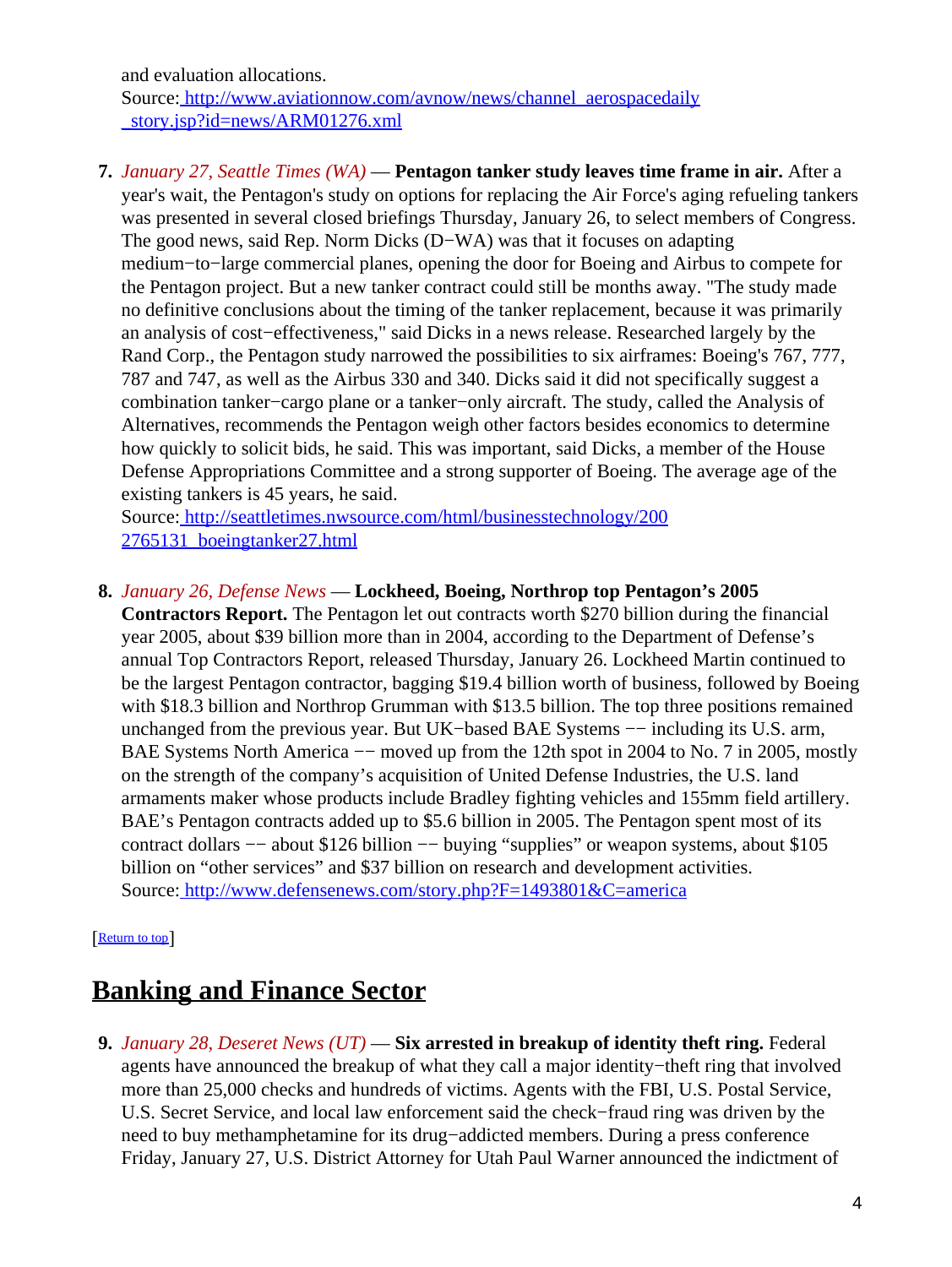and evaluation allocations. Source[: http://www.aviationnow.com/avnow/news/channel\\_aerospacedaily](http://www.aviationnow.com/avnow/news/channel_aerospacedaily_story.jsp?id=news/ARM01276.xml) [\\_story.jsp?id=news/ARM01276.xml](http://www.aviationnow.com/avnow/news/channel_aerospacedaily_story.jsp?id=news/ARM01276.xml)

**7.** *January 27, Seattle Times (WA)* — **Pentagon tanker study leaves time frame in air.** After a year's wait, the Pentagon's study on options for replacing the Air Force's aging refueling tankers was presented in several closed briefings Thursday, January 26, to select members of Congress. The good news, said Rep. Norm Dicks (D−WA) was that it focuses on adapting medium−to−large commercial planes, opening the door for Boeing and Airbus to compete for the Pentagon project. But a new tanker contract could still be months away. "The study made no definitive conclusions about the timing of the tanker replacement, because it was primarily an analysis of cost−effectiveness," said Dicks in a news release. Researched largely by the Rand Corp., the Pentagon study narrowed the possibilities to six airframes: Boeing's 767, 777, 787 and 747, as well as the Airbus 330 and 340. Dicks said it did not specifically suggest a combination tanker−cargo plane or a tanker−only aircraft. The study, called the Analysis of Alternatives, recommends the Pentagon weigh other factors besides economics to determine how quickly to solicit bids, he said. This was important, said Dicks, a member of the House Defense Appropriations Committee and a strong supporter of Boeing. The average age of the existing tankers is 45 years, he said.

Source[: http://seattletimes.nwsource.com/html/businesstechnology/200](http://seattletimes.nwsource.com/html/businesstechnology/2002765131_boeingtanker27.html) [2765131\\_boeingtanker27.html](http://seattletimes.nwsource.com/html/businesstechnology/2002765131_boeingtanker27.html)

### **8.** *January 26, Defense News* — **Lockheed, Boeing, Northrop top Pentagon's 2005**

**Contractors Report.** The Pentagon let out contracts worth \$270 billion during the financial year 2005, about \$39 billion more than in 2004, according to the Department of Defense's annual Top Contractors Report, released Thursday, January 26. Lockheed Martin continued to be the largest Pentagon contractor, bagging \$19.4 billion worth of business, followed by Boeing with \$18.3 billion and Northrop Grumman with \$13.5 billion. The top three positions remained unchanged from the previous year. But UK−based BAE Systems −− including its U.S. arm, BAE Systems North America –– moved up from the 12th spot in 2004 to No. 7 in 2005, mostly on the strength of the company's acquisition of United Defense Industries, the U.S. land armaments maker whose products include Bradley fighting vehicles and 155mm field artillery. BAE's Pentagon contracts added up to \$5.6 billion in 2005. The Pentagon spent most of its contract dollars −− about \$126 billion −− buying "supplies" or weapon systems, about \$105 billion on "other services" and \$37 billion on research and development activities. Source[: http://www.defensenews.com/story.php?F=1493801&C=america](http://www.defensenews.com/story.php?F=1493801&C=america)

#### [[Return to top](#page-0-1)]

### <span id="page-3-1"></span>**Banking and Finance Sector**

<span id="page-3-0"></span>**9.** *January 28, Deseret News (UT)* — **Six arrested in breakup of identity theft ring.** Federal agents have announced the breakup of what they call a major identity−theft ring that involved more than 25,000 checks and hundreds of victims. Agents with the FBI, U.S. Postal Service, U.S. Secret Service, and local law enforcement said the check−fraud ring was driven by the need to buy methamphetamine for its drug−addicted members. During a press conference Friday, January 27, U.S. District Attorney for Utah Paul Warner announced the indictment of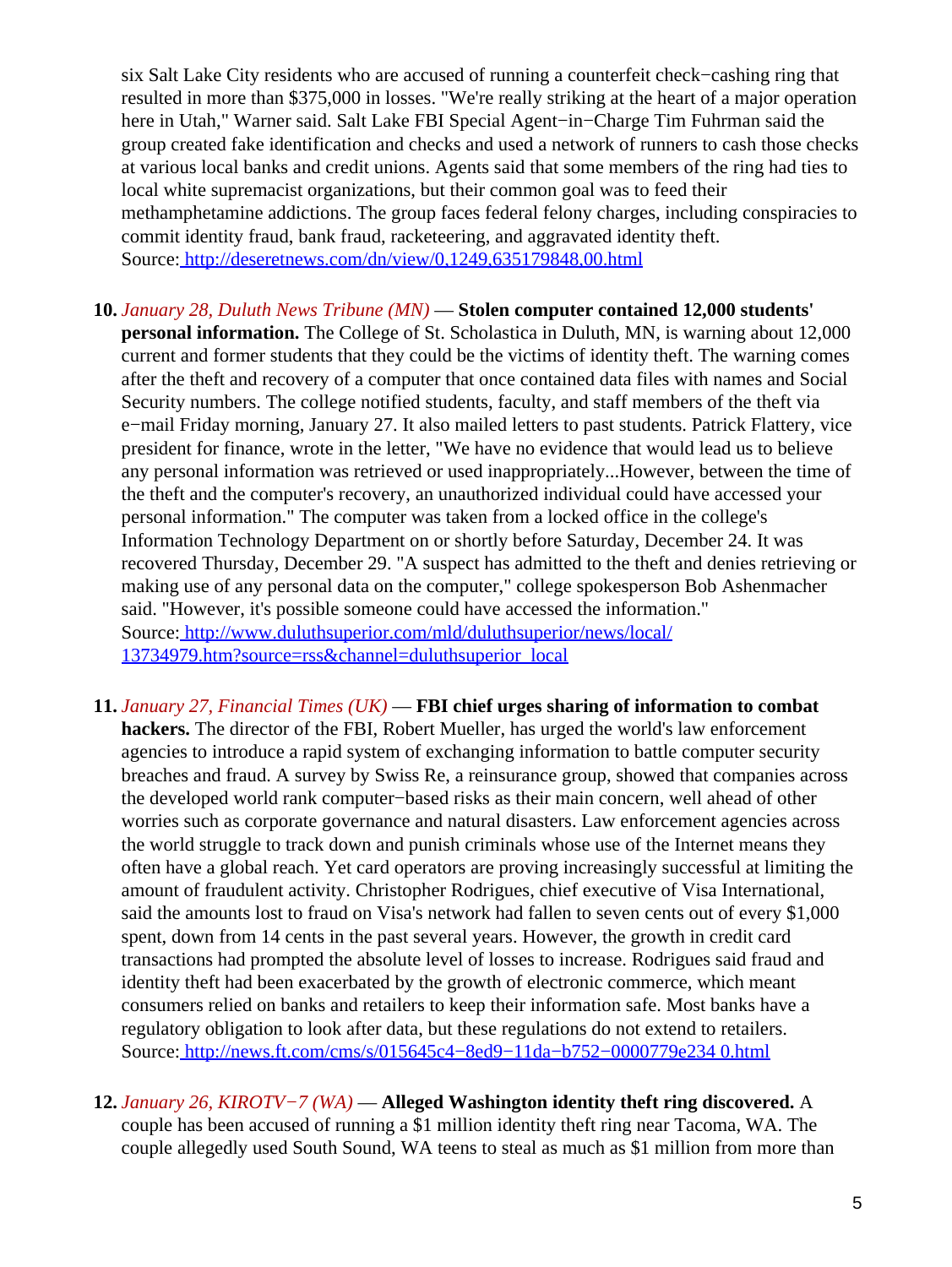six Salt Lake City residents who are accused of running a counterfeit check−cashing ring that resulted in more than \$375,000 in losses. "We're really striking at the heart of a major operation here in Utah," Warner said. Salt Lake FBI Special Agent−in−Charge Tim Fuhrman said the group created fake identification and checks and used a network of runners to cash those checks at various local banks and credit unions. Agents said that some members of the ring had ties to local white supremacist organizations, but their common goal was to feed their methamphetamine addictions. The group faces federal felony charges, including conspiracies to commit identity fraud, bank fraud, racketeering, and aggravated identity theft. Source[: http://deseretnews.com/dn/view/0,1249,635179848,00.html](http://deseretnews.com/dn/view/0,1249,635179848,00.html)

- **10.** *January 28, Duluth News Tribune (MN)* — **Stolen computer contained 12,000 students' personal information.** The College of St. Scholastica in Duluth, MN, is warning about 12,000 current and former students that they could be the victims of identity theft. The warning comes after the theft and recovery of a computer that once contained data files with names and Social Security numbers. The college notified students, faculty, and staff members of the theft via e−mail Friday morning, January 27. It also mailed letters to past students. Patrick Flattery, vice president for finance, wrote in the letter, "We have no evidence that would lead us to believe any personal information was retrieved or used inappropriately...However, between the time of the theft and the computer's recovery, an unauthorized individual could have accessed your personal information." The computer was taken from a locked office in the college's Information Technology Department on or shortly before Saturday, December 24. It was recovered Thursday, December 29. "A suspect has admitted to the theft and denies retrieving or making use of any personal data on the computer," college spokesperson Bob Ashenmacher said. "However, it's possible someone could have accessed the information." Source[: http://www.duluthsuperior.com/mld/duluthsuperior/news/local/](http://www.duluthsuperior.com/mld/duluthsuperior/news/local/13734979.htm?source=rss&channel=duluthsuperior_local) [13734979.htm?source=rss&channel=duluthsuperior\\_local](http://www.duluthsuperior.com/mld/duluthsuperior/news/local/13734979.htm?source=rss&channel=duluthsuperior_local)
- **11.** *January 27, Financial Times (UK)* — **FBI chief urges sharing of information to combat hackers.** The director of the FBI, Robert Mueller, has urged the world's law enforcement agencies to introduce a rapid system of exchanging information to battle computer security breaches and fraud. A survey by Swiss Re, a reinsurance group, showed that companies across the developed world rank computer−based risks as their main concern, well ahead of other worries such as corporate governance and natural disasters. Law enforcement agencies across the world struggle to track down and punish criminals whose use of the Internet means they often have a global reach. Yet card operators are proving increasingly successful at limiting the amount of fraudulent activity. Christopher Rodrigues, chief executive of Visa International, said the amounts lost to fraud on Visa's network had fallen to seven cents out of every \$1,000 spent, down from 14 cents in the past several years. However, the growth in credit card transactions had prompted the absolute level of losses to increase. Rodrigues said fraud and identity theft had been exacerbated by the growth of electronic commerce, which meant consumers relied on banks and retailers to keep their information safe. Most banks have a regulatory obligation to look after data, but these regulations do not extend to retailers. Source[: http://news.ft.com/cms/s/015645c4−8ed9−11da−b752−0000779e234 0.html](http://news.ft.com/cms/s/015645c4-8ed9-11da-b752-0000779e2340.html)
- **12.** *January 26, KIROTV−7 (WA)* — **Alleged Washington identity theft ring discovered.** A couple has been accused of running a \$1 million identity theft ring near Tacoma, WA. The couple allegedly used South Sound, WA teens to steal as much as \$1 million from more than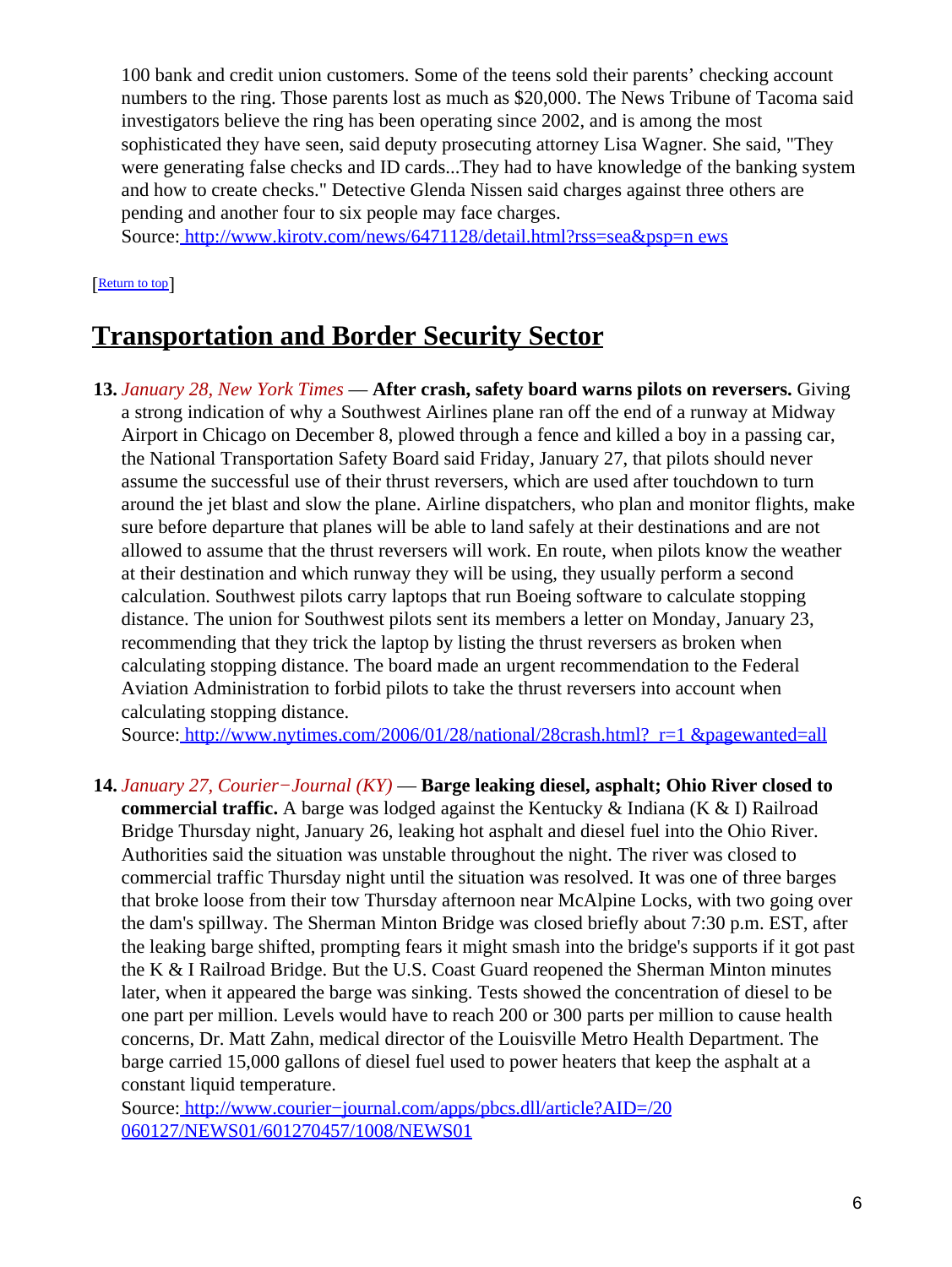100 bank and credit union customers. Some of the teens sold their parents' checking account numbers to the ring. Those parents lost as much as \$20,000. The News Tribune of Tacoma said investigators believe the ring has been operating since 2002, and is among the most sophisticated they have seen, said deputy prosecuting attorney Lisa Wagner. She said, "They were generating false checks and ID cards...They had to have knowledge of the banking system and how to create checks." Detective Glenda Nissen said charges against three others are pending and another four to six people may face charges.

Source[: http://www.kirotv.com/news/6471128/detail.html?rss=sea&psp=n ews](http://www.kirotv.com/news/6471128/detail.html?rss=sea&psp=news)

[[Return to top](#page-0-1)]

# <span id="page-5-0"></span>**Transportation and Border Security Sector**

**13.** *January 28, New York Times* — **After crash, safety board warns pilots on reversers.** Giving a strong indication of why a Southwest Airlines plane ran off the end of a runway at Midway Airport in Chicago on December 8, plowed through a fence and killed a boy in a passing car, the National Transportation Safety Board said Friday, January 27, that pilots should never assume the successful use of their thrust reversers, which are used after touchdown to turn around the jet blast and slow the plane. Airline dispatchers, who plan and monitor flights, make sure before departure that planes will be able to land safely at their destinations and are not allowed to assume that the thrust reversers will work. En route, when pilots know the weather at their destination and which runway they will be using, they usually perform a second calculation. Southwest pilots carry laptops that run Boeing software to calculate stopping distance. The union for Southwest pilots sent its members a letter on Monday, January 23, recommending that they trick the laptop by listing the thrust reversers as broken when calculating stopping distance. The board made an urgent recommendation to the Federal Aviation Administration to forbid pilots to take the thrust reversers into account when calculating stopping distance.

Source[: http://www.nytimes.com/2006/01/28/national/28crash.html?\\_r=1 &pagewanted=all](http://www.nytimes.com/2006/01/28/national/28crash.html?_r=1&pagewanted=all)

**14.** *January 27, Courier−Journal (KY)* — **Barge leaking diesel, asphalt; Ohio River closed to commercial traffic.** A barge was lodged against the Kentucky & Indiana (K & I) Railroad Bridge Thursday night, January 26, leaking hot asphalt and diesel fuel into the Ohio River. Authorities said the situation was unstable throughout the night. The river was closed to commercial traffic Thursday night until the situation was resolved. It was one of three barges that broke loose from their tow Thursday afternoon near McAlpine Locks, with two going over the dam's spillway. The Sherman Minton Bridge was closed briefly about 7:30 p.m. EST, after the leaking barge shifted, prompting fears it might smash into the bridge's supports if it got past the K & I Railroad Bridge. But the U.S. Coast Guard reopened the Sherman Minton minutes later, when it appeared the barge was sinking. Tests showed the concentration of diesel to be one part per million. Levels would have to reach 200 or 300 parts per million to cause health concerns, Dr. Matt Zahn, medical director of the Louisville Metro Health Department. The barge carried 15,000 gallons of diesel fuel used to power heaters that keep the asphalt at a constant liquid temperature.

Source[: http://www.courier−journal.com/apps/pbcs.dll/article?AID=/20](http://www.courier-journal.com/apps/pbcs.dll/article?AID=/20060127/NEWS01/601270457/1008/NEWS01) [060127/NEWS01/601270457/1008/NEWS01](http://www.courier-journal.com/apps/pbcs.dll/article?AID=/20060127/NEWS01/601270457/1008/NEWS01)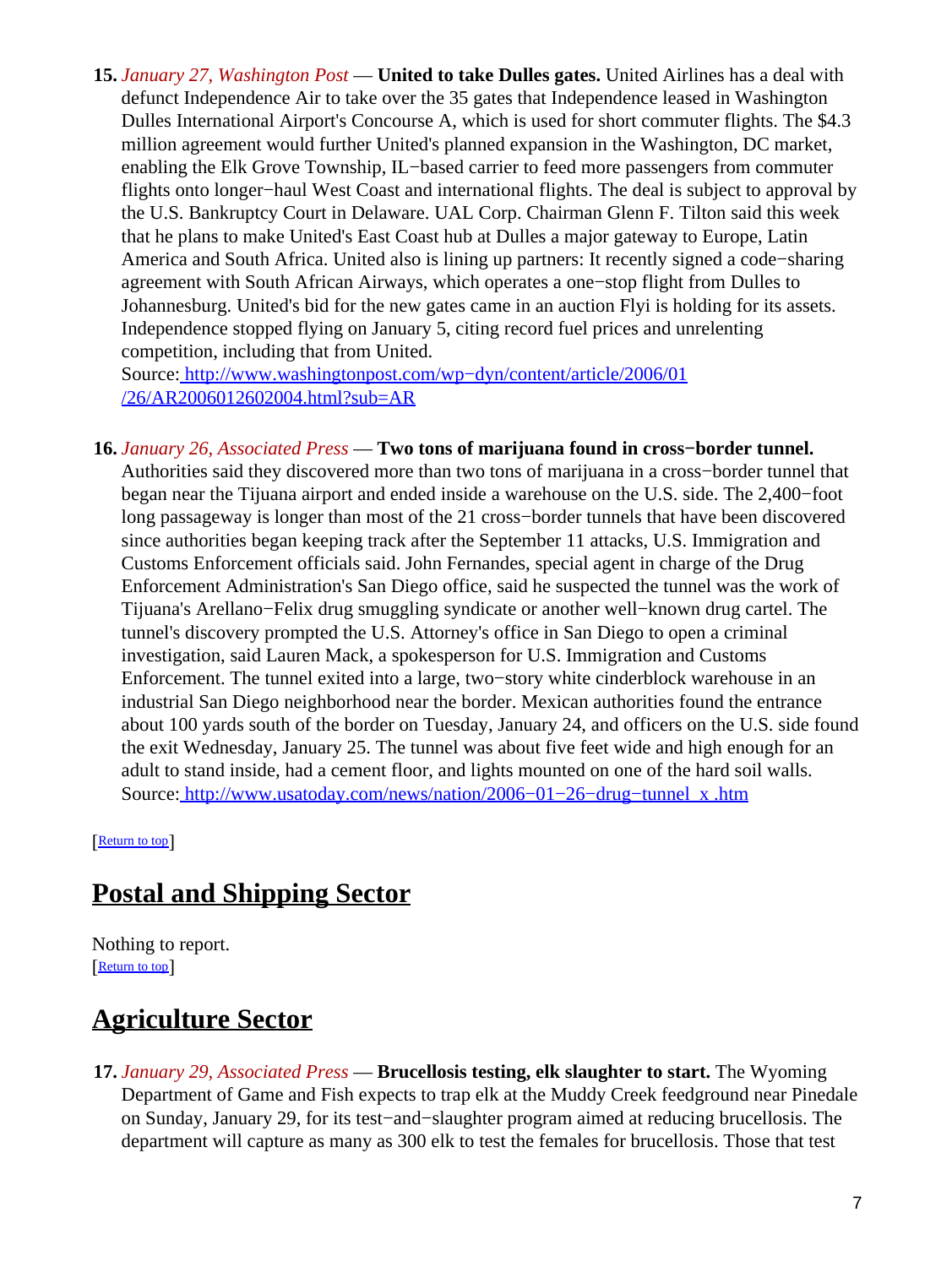**15.** *January 27, Washington Post* — **United to take Dulles gates.** United Airlines has a deal with defunct Independence Air to take over the 35 gates that Independence leased in Washington Dulles International Airport's Concourse A, which is used for short commuter flights. The \$4.3 million agreement would further United's planned expansion in the Washington, DC market, enabling the Elk Grove Township, IL−based carrier to feed more passengers from commuter flights onto longer−haul West Coast and international flights. The deal is subject to approval by the U.S. Bankruptcy Court in Delaware. UAL Corp. Chairman Glenn F. Tilton said this week that he plans to make United's East Coast hub at Dulles a major gateway to Europe, Latin America and South Africa. United also is lining up partners: It recently signed a code−sharing agreement with South African Airways, which operates a one−stop flight from Dulles to Johannesburg. United's bid for the new gates came in an auction Flyi is holding for its assets. Independence stopped flying on January 5, citing record fuel prices and unrelenting competition, including that from United.

Source[: http://www.washingtonpost.com/wp−dyn/content/article/2006/01](http://www.washingtonpost.com/wp-dyn/content/article/2006/01/26/AR2006012602004.html?sub=AR) [/26/AR2006012602004.html?sub=AR](http://www.washingtonpost.com/wp-dyn/content/article/2006/01/26/AR2006012602004.html?sub=AR)

<span id="page-6-0"></span>**16.** *January 26, Associated Press* — **Two tons of marijuana found in cross−border tunnel.** Authorities said they discovered more than two tons of marijuana in a cross−border tunnel that began near the Tijuana airport and ended inside a warehouse on the U.S. side. The 2,400−foot long passageway is longer than most of the 21 cross−border tunnels that have been discovered since authorities began keeping track after the September 11 attacks, U.S. Immigration and Customs Enforcement officials said. John Fernandes, special agent in charge of the Drug Enforcement Administration's San Diego office, said he suspected the tunnel was the work of Tijuana's Arellano−Felix drug smuggling syndicate or another well−known drug cartel. The tunnel's discovery prompted the U.S. Attorney's office in San Diego to open a criminal investigation, said Lauren Mack, a spokesperson for U.S. Immigration and Customs Enforcement. The tunnel exited into a large, two−story white cinderblock warehouse in an industrial San Diego neighborhood near the border. Mexican authorities found the entrance about 100 yards south of the border on Tuesday, January 24, and officers on the U.S. side found the exit Wednesday, January 25. The tunnel was about five feet wide and high enough for an adult to stand inside, had a cement floor, and lights mounted on one of the hard soil walls. Source[: http://www.usatoday.com/news/nation/2006−01−26−drug−tunnel\\_x .htm](http://www.usatoday.com/news/nation/2006-01-26-drug-tunnel_x.htm)

[[Return to top](#page-0-1)]

# <span id="page-6-1"></span>**Postal and Shipping Sector**

Nothing to report. [[Return to top](#page-0-1)]

# <span id="page-6-2"></span>**Agriculture Sector**

**17.** *January 29, Associated Press* — **Brucellosis testing, elk slaughter to start.** The Wyoming Department of Game and Fish expects to trap elk at the Muddy Creek feedground near Pinedale on Sunday, January 29, for its test−and−slaughter program aimed at reducing brucellosis. The department will capture as many as 300 elk to test the females for brucellosis. Those that test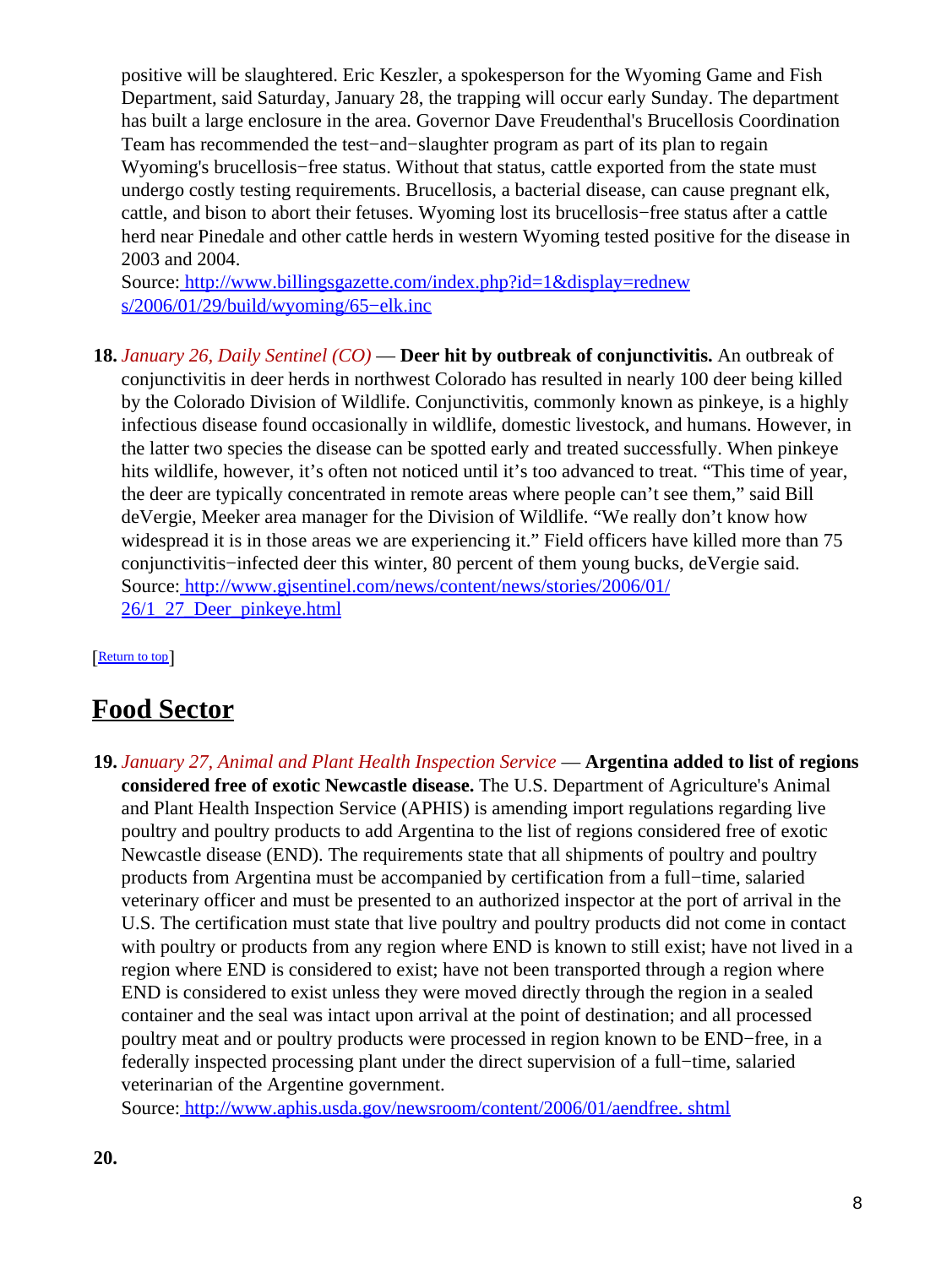positive will be slaughtered. Eric Keszler, a spokesperson for the Wyoming Game and Fish Department, said Saturday, January 28, the trapping will occur early Sunday. The department has built a large enclosure in the area. Governor Dave Freudenthal's Brucellosis Coordination Team has recommended the test−and−slaughter program as part of its plan to regain Wyoming's brucellosis−free status. Without that status, cattle exported from the state must undergo costly testing requirements. Brucellosis, a bacterial disease, can cause pregnant elk, cattle, and bison to abort their fetuses. Wyoming lost its brucellosis−free status after a cattle herd near Pinedale and other cattle herds in western Wyoming tested positive for the disease in 2003 and 2004.

Source[: http://www.billingsgazette.com/index.php?id=1&display=rednew](http://www.billingsgazette.com/index.php?id=1&display=rednews/2006/01/29/build/wyoming/65-elk.inc) [s/2006/01/29/build/wyoming/65−elk.inc](http://www.billingsgazette.com/index.php?id=1&display=rednews/2006/01/29/build/wyoming/65-elk.inc)

**18.** *January 26, Daily Sentinel (CO)* — **Deer hit by outbreak of conjunctivitis.** An outbreak of conjunctivitis in deer herds in northwest Colorado has resulted in nearly 100 deer being killed by the Colorado Division of Wildlife. Conjunctivitis, commonly known as pinkeye, is a highly infectious disease found occasionally in wildlife, domestic livestock, and humans. However, in the latter two species the disease can be spotted early and treated successfully. When pinkeye hits wildlife, however, it's often not noticed until it's too advanced to treat. "This time of year, the deer are typically concentrated in remote areas where people can't see them," said Bill deVergie, Meeker area manager for the Division of Wildlife. "We really don't know how widespread it is in those areas we are experiencing it." Field officers have killed more than 75 conjunctivitis−infected deer this winter, 80 percent of them young bucks, deVergie said. Source[: http://www.gjsentinel.com/news/content/news/stories/2006/01/](http://www.gjsentinel.com/news/content/news/stories/2006/01/26/1_27_Deer_pinkeye.html) [26/1\\_27\\_Deer\\_pinkeye.html](http://www.gjsentinel.com/news/content/news/stories/2006/01/26/1_27_Deer_pinkeye.html)

[[Return to top](#page-0-1)]

# <span id="page-7-0"></span>**Food Sector**

**19.** *January 27, Animal and Plant Health Inspection Service* — **Argentina added to list of regions considered free of exotic Newcastle disease.** The U.S. Department of Agriculture's Animal and Plant Health Inspection Service (APHIS) is amending import regulations regarding live poultry and poultry products to add Argentina to the list of regions considered free of exotic Newcastle disease (END). The requirements state that all shipments of poultry and poultry products from Argentina must be accompanied by certification from a full−time, salaried veterinary officer and must be presented to an authorized inspector at the port of arrival in the U.S. The certification must state that live poultry and poultry products did not come in contact with poultry or products from any region where END is known to still exist; have not lived in a region where END is considered to exist; have not been transported through a region where END is considered to exist unless they were moved directly through the region in a sealed container and the seal was intact upon arrival at the point of destination; and all processed poultry meat and or poultry products were processed in region known to be END−free, in a federally inspected processing plant under the direct supervision of a full−time, salaried veterinarian of the Argentine government.

Source[: http://www.aphis.usda.gov/newsroom/content/2006/01/aendfree. shtml](http://www.aphis.usda.gov/newsroom/content/2006/01/aendfree.shtml)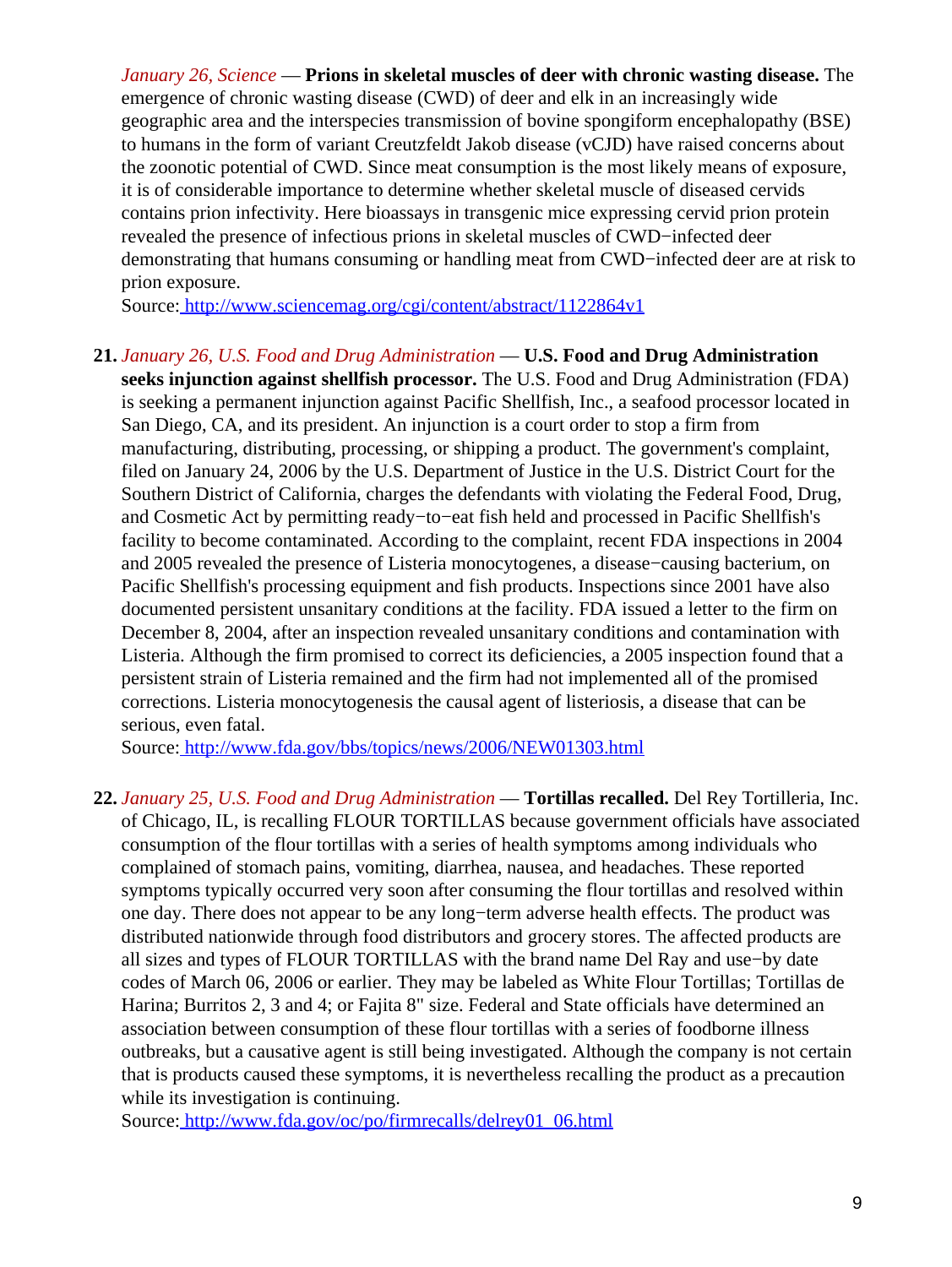*January 26, Science* — **Prions in skeletal muscles of deer with chronic wasting disease.** The emergence of chronic wasting disease (CWD) of deer and elk in an increasingly wide geographic area and the interspecies transmission of bovine spongiform encephalopathy (BSE) to humans in the form of variant Creutzfeldt Jakob disease (vCJD) have raised concerns about the zoonotic potential of CWD. Since meat consumption is the most likely means of exposure, it is of considerable importance to determine whether skeletal muscle of diseased cervids contains prion infectivity. Here bioassays in transgenic mice expressing cervid prion protein revealed the presence of infectious prions in skeletal muscles of CWD−infected deer demonstrating that humans consuming or handling meat from CWD−infected deer are at risk to prion exposure.

Source[: http://www.sciencemag.org/cgi/content/abstract/1122864v1](http://www.sciencemag.org/cgi/content/abstract/1122864v1)

#### **21.** *January 26, U.S. Food and Drug Administration* — **U.S. Food and Drug Administration**

**seeks injunction against shellfish processor.** The U.S. Food and Drug Administration (FDA) is seeking a permanent injunction against Pacific Shellfish, Inc., a seafood processor located in San Diego, CA, and its president. An injunction is a court order to stop a firm from manufacturing, distributing, processing, or shipping a product. The government's complaint, filed on January 24, 2006 by the U.S. Department of Justice in the U.S. District Court for the Southern District of California, charges the defendants with violating the Federal Food, Drug, and Cosmetic Act by permitting ready−to−eat fish held and processed in Pacific Shellfish's facility to become contaminated. According to the complaint, recent FDA inspections in 2004 and 2005 revealed the presence of Listeria monocytogenes, a disease−causing bacterium, on Pacific Shellfish's processing equipment and fish products. Inspections since 2001 have also documented persistent unsanitary conditions at the facility. FDA issued a letter to the firm on December 8, 2004, after an inspection revealed unsanitary conditions and contamination with Listeria. Although the firm promised to correct its deficiencies, a 2005 inspection found that a persistent strain of Listeria remained and the firm had not implemented all of the promised corrections. Listeria monocytogenesis the causal agent of listeriosis, a disease that can be serious, even fatal.

Source[: http://www.fda.gov/bbs/topics/news/2006/NEW01303.html](http://www.fda.gov/bbs/topics/news/2006/NEW01303.html)

**22.** *January 25, U.S. Food and Drug Administration* — **Tortillas recalled.** Del Rey Tortilleria, Inc. of Chicago, IL, is recalling FLOUR TORTILLAS because government officials have associated consumption of the flour tortillas with a series of health symptoms among individuals who complained of stomach pains, vomiting, diarrhea, nausea, and headaches. These reported symptoms typically occurred very soon after consuming the flour tortillas and resolved within one day. There does not appear to be any long−term adverse health effects. The product was distributed nationwide through food distributors and grocery stores. The affected products are all sizes and types of FLOUR TORTILLAS with the brand name Del Ray and use−by date codes of March 06, 2006 or earlier. They may be labeled as White Flour Tortillas; Tortillas de Harina; Burritos 2, 3 and 4; or Fajita 8" size. Federal and State officials have determined an association between consumption of these flour tortillas with a series of foodborne illness outbreaks, but a causative agent is still being investigated. Although the company is not certain that is products caused these symptoms, it is nevertheless recalling the product as a precaution while its investigation is continuing.

Source[: http://www.fda.gov/oc/po/firmrecalls/delrey01\\_06.html](http://www.fda.gov/oc/po/firmrecalls/delrey01_06.html)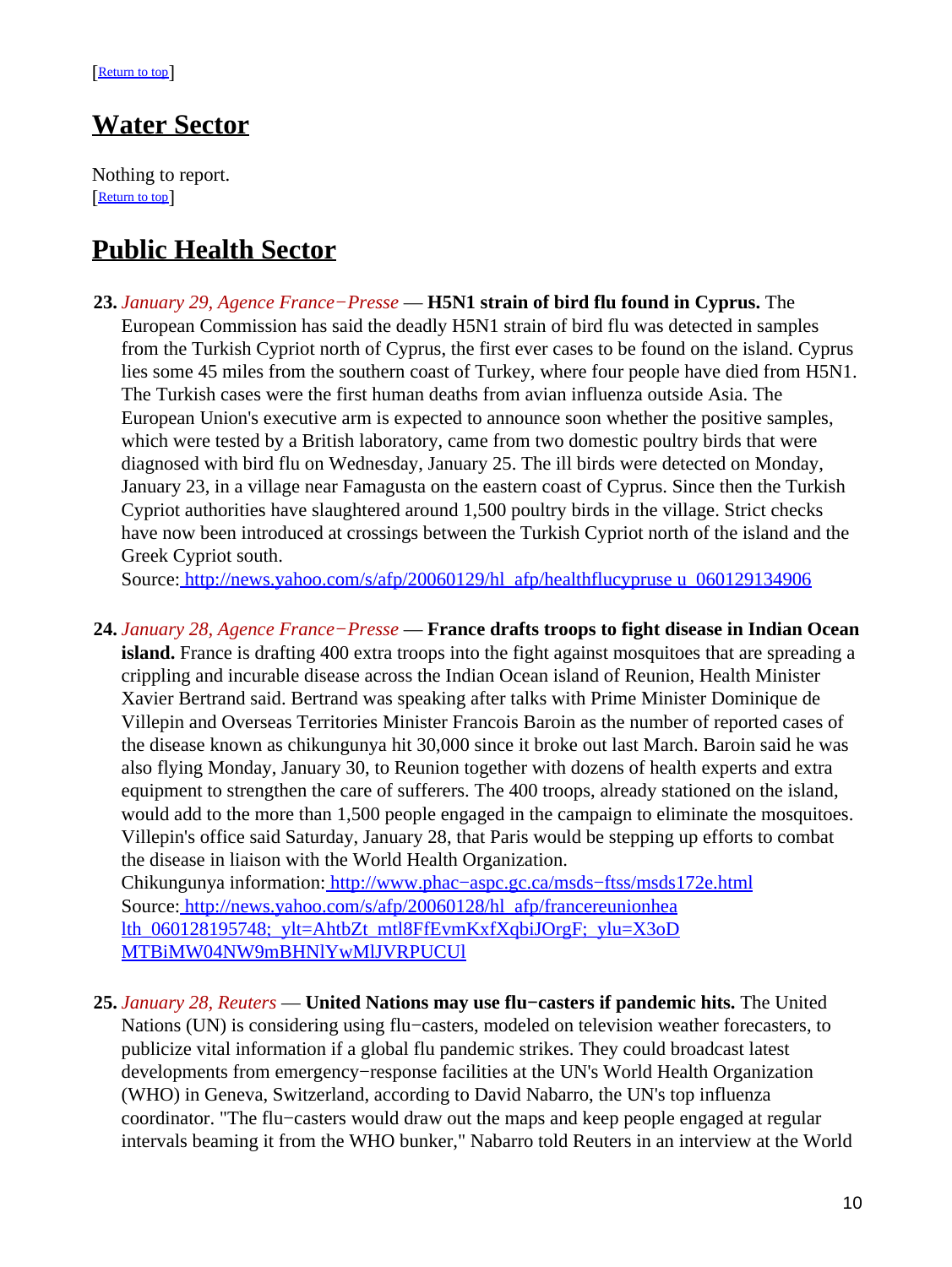# <span id="page-9-0"></span>**Water Sector**

Nothing to report. [[Return to top](#page-0-1)]

# <span id="page-9-1"></span>**Public Health Sector**

**23.** *January 29, Agence France−Presse* — **H5N1 strain of bird flu found in Cyprus.** The European Commission has said the deadly H5N1 strain of bird flu was detected in samples from the Turkish Cypriot north of Cyprus, the first ever cases to be found on the island. Cyprus lies some 45 miles from the southern coast of Turkey, where four people have died from H5N1. The Turkish cases were the first human deaths from avian influenza outside Asia. The European Union's executive arm is expected to announce soon whether the positive samples, which were tested by a British laboratory, came from two domestic poultry birds that were diagnosed with bird flu on Wednesday, January 25. The ill birds were detected on Monday, January 23, in a village near Famagusta on the eastern coast of Cyprus. Since then the Turkish Cypriot authorities have slaughtered around 1,500 poultry birds in the village. Strict checks have now been introduced at crossings between the Turkish Cypriot north of the island and the Greek Cypriot south.

Source[: http://news.yahoo.com/s/afp/20060129/hl\\_afp/healthflucypruse u\\_060129134906](http://news.yahoo.com/s/afp/20060129/hl_afp/healthflucypruseu_060129134906)

**24.** *January 28, Agence France−Presse* — **France drafts troops to fight disease in Indian Ocean island.** France is drafting 400 extra troops into the fight against mosquitoes that are spreading a crippling and incurable disease across the Indian Ocean island of Reunion, Health Minister Xavier Bertrand said. Bertrand was speaking after talks with Prime Minister Dominique de Villepin and Overseas Territories Minister Francois Baroin as the number of reported cases of the disease known as chikungunya hit 30,000 since it broke out last March. Baroin said he was also flying Monday, January 30, to Reunion together with dozens of health experts and extra equipment to strengthen the care of sufferers. The 400 troops, already stationed on the island, would add to the more than 1,500 people engaged in the campaign to eliminate the mosquitoes. Villepin's office said Saturday, January 28, that Paris would be stepping up efforts to combat the disease in liaison with the World Health Organization.

Chikungunya information: [http://www.phac−aspc.gc.ca/msds−ftss/msds172e.html](http://www.phac-aspc.gc.ca/msds-ftss/msds172e.html) Source[: http://news.yahoo.com/s/afp/20060128/hl\\_afp/francereunionhea](http://news.yahoo.com/s/afp/20060128/hl_afp/francereunionhealth_060128195748;_ylt=AhtbZt_mtl8FfEvmKxfXqbiJOrgF;_ylu=X3oDMTBiMW04NW9mBHNlYwMlJVRPUCUl) [lth\\_060128195748;\\_ylt=AhtbZt\\_mtl8FfEvmKxfXqbiJOrgF;\\_ylu=X3oD](http://news.yahoo.com/s/afp/20060128/hl_afp/francereunionhealth_060128195748;_ylt=AhtbZt_mtl8FfEvmKxfXqbiJOrgF;_ylu=X3oDMTBiMW04NW9mBHNlYwMlJVRPUCUl) [MTBiMW04NW9mBHNlYwMlJVRPUCUl](http://news.yahoo.com/s/afp/20060128/hl_afp/francereunionhealth_060128195748;_ylt=AhtbZt_mtl8FfEvmKxfXqbiJOrgF;_ylu=X3oDMTBiMW04NW9mBHNlYwMlJVRPUCUl)

**25.** *January 28, Reuters* — **United Nations may use flu−casters if pandemic hits.** The United Nations (UN) is considering using flu−casters, modeled on television weather forecasters, to publicize vital information if a global flu pandemic strikes. They could broadcast latest developments from emergency−response facilities at the UN's World Health Organization (WHO) in Geneva, Switzerland, according to David Nabarro, the UN's top influenza coordinator. "The flu−casters would draw out the maps and keep people engaged at regular intervals beaming it from the WHO bunker," Nabarro told Reuters in an interview at the World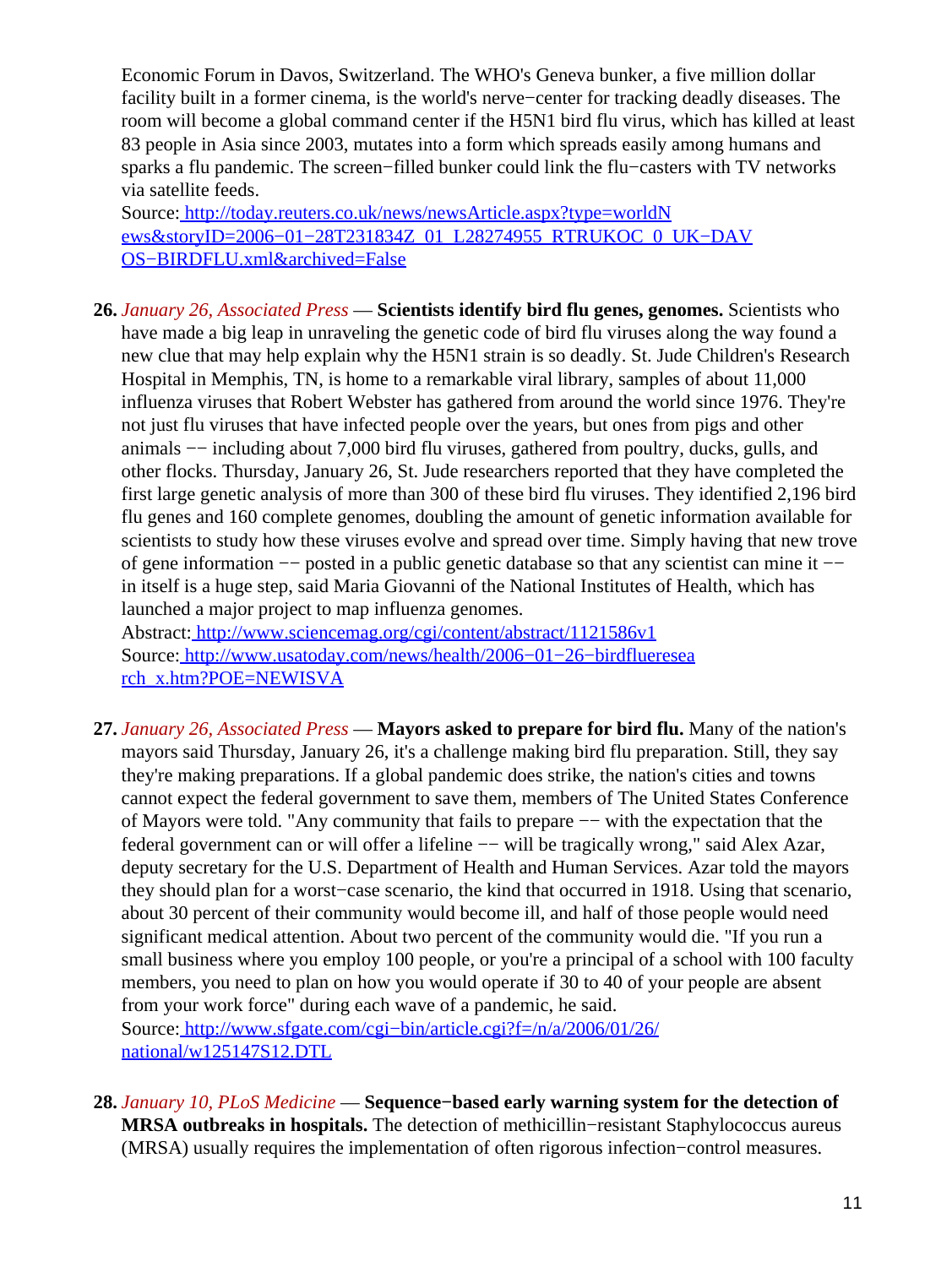Economic Forum in Davos, Switzerland. The WHO's Geneva bunker, a five million dollar facility built in a former cinema, is the world's nerve−center for tracking deadly diseases. The room will become a global command center if the H5N1 bird flu virus, which has killed at least 83 people in Asia since 2003, mutates into a form which spreads easily among humans and sparks a flu pandemic. The screen−filled bunker could link the flu−casters with TV networks via satellite feeds.

Source[: http://today.reuters.co.uk/news/newsArticle.aspx?type=worldN](http://today.reuters.co.uk/news/newsArticle.aspx?type=worldNews&storyID=2006-01-28T231834Z_01_L28274955_RTRUKOC_0_UK-DAVOS-BIRDFLU.xml&archived=False) [ews&storyID=2006−01−28T231834Z\\_01\\_L28274955\\_RTRUKOC\\_0\\_UK−DAV](http://today.reuters.co.uk/news/newsArticle.aspx?type=worldNews&storyID=2006-01-28T231834Z_01_L28274955_RTRUKOC_0_UK-DAVOS-BIRDFLU.xml&archived=False) [OS−BIRDFLU.xml&archived=False](http://today.reuters.co.uk/news/newsArticle.aspx?type=worldNews&storyID=2006-01-28T231834Z_01_L28274955_RTRUKOC_0_UK-DAVOS-BIRDFLU.xml&archived=False)

**26.** *January 26, Associated Press* — **Scientists identify bird flu genes, genomes.** Scientists who have made a big leap in unraveling the genetic code of bird flu viruses along the way found a new clue that may help explain why the H5N1 strain is so deadly. St. Jude Children's Research Hospital in Memphis, TN, is home to a remarkable viral library, samples of about 11,000 influenza viruses that Robert Webster has gathered from around the world since 1976. They're not just flu viruses that have infected people over the years, but ones from pigs and other animals −− including about 7,000 bird flu viruses, gathered from poultry, ducks, gulls, and other flocks. Thursday, January 26, St. Jude researchers reported that they have completed the first large genetic analysis of more than 300 of these bird flu viruses. They identified 2,196 bird flu genes and 160 complete genomes, doubling the amount of genetic information available for scientists to study how these viruses evolve and spread over time. Simply having that new trove of gene information −− posted in a public genetic database so that any scientist can mine it −− in itself is a huge step, said Maria Giovanni of the National Institutes of Health, which has launched a major project to map influenza genomes.

Abstract:<http://www.sciencemag.org/cgi/content/abstract/1121586v1> Source[: http://www.usatoday.com/news/health/2006−01−26−birdflueresea](http://www.usatoday.com/news/health/2006-01-26-birdflueresearch_x.htm?POE=NEWISVA) [rch\\_x.htm?POE=NEWISVA](http://www.usatoday.com/news/health/2006-01-26-birdflueresearch_x.htm?POE=NEWISVA)

- **27.** *January 26, Associated Press* — **Mayors asked to prepare for bird flu.** Many of the nation's mayors said Thursday, January 26, it's a challenge making bird flu preparation. Still, they say they're making preparations. If a global pandemic does strike, the nation's cities and towns cannot expect the federal government to save them, members of The United States Conference of Mayors were told. "Any community that fails to prepare −− with the expectation that the federal government can or will offer a lifeline −− will be tragically wrong," said Alex Azar, deputy secretary for the U.S. Department of Health and Human Services. Azar told the mayors they should plan for a worst−case scenario, the kind that occurred in 1918. Using that scenario, about 30 percent of their community would become ill, and half of those people would need significant medical attention. About two percent of the community would die. "If you run a small business where you employ 100 people, or you're a principal of a school with 100 faculty members, you need to plan on how you would operate if 30 to 40 of your people are absent from your work force" during each wave of a pandemic, he said. Source[: http://www.sfgate.com/cgi−bin/article.cgi?f=/n/a/2006/01/26/](http://www.sfgate.com/cgi-bin/article.cgi?f=/n/a/2006/01/26/national/w125147S12.DTL) [national/w125147S12.DTL](http://www.sfgate.com/cgi-bin/article.cgi?f=/n/a/2006/01/26/national/w125147S12.DTL)
- **28.** *January 10, PLoS Medicine* — **Sequence−based early warning system for the detection of MRSA outbreaks in hospitals.** The detection of methicillin−resistant Staphylococcus aureus (MRSA) usually requires the implementation of often rigorous infection−control measures.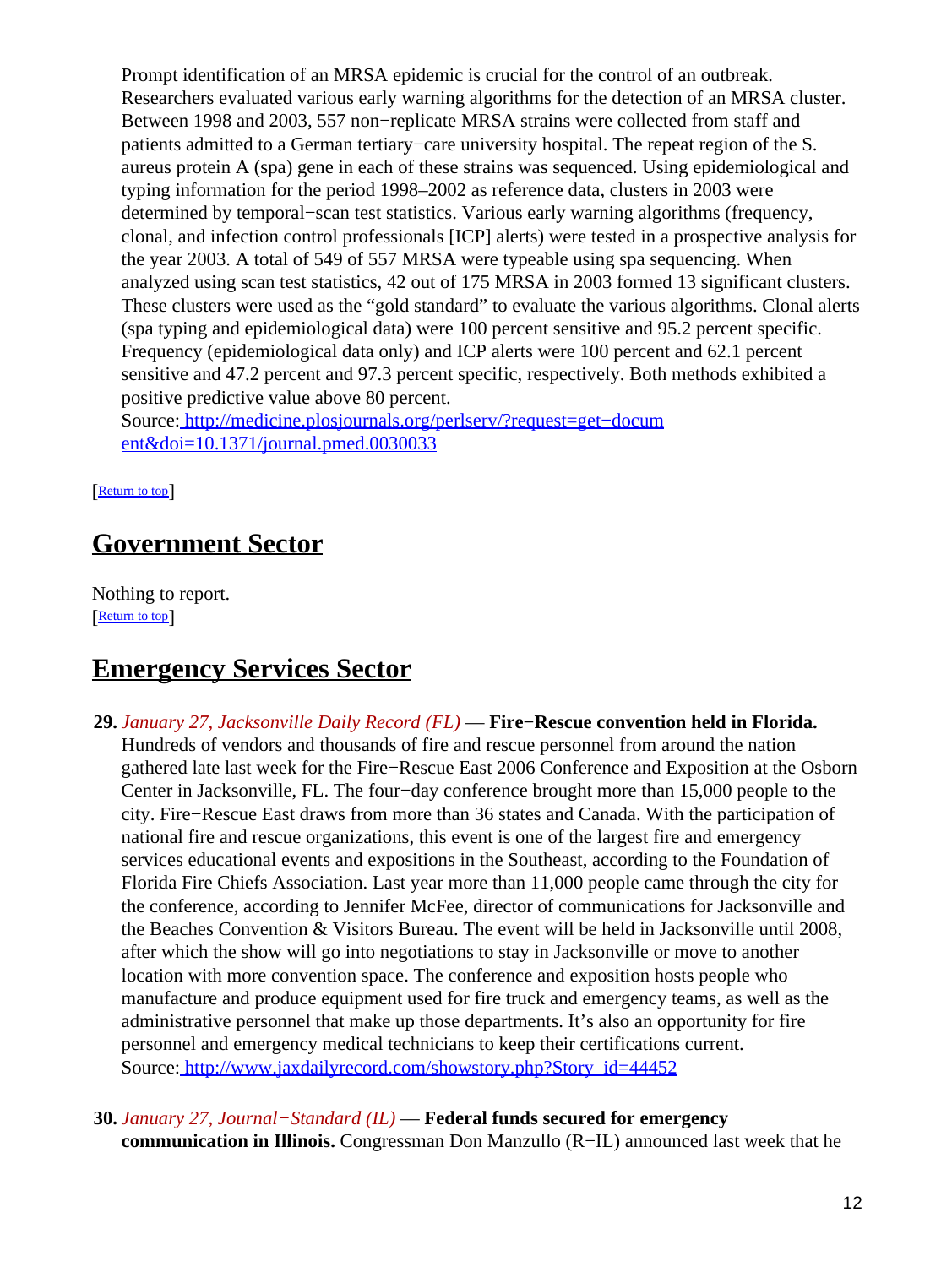Prompt identification of an MRSA epidemic is crucial for the control of an outbreak. Researchers evaluated various early warning algorithms for the detection of an MRSA cluster. Between 1998 and 2003, 557 non−replicate MRSA strains were collected from staff and patients admitted to a German tertiary−care university hospital. The repeat region of the S. aureus protein A (spa) gene in each of these strains was sequenced. Using epidemiological and typing information for the period 1998–2002 as reference data, clusters in 2003 were determined by temporal−scan test statistics. Various early warning algorithms (frequency, clonal, and infection control professionals [ICP] alerts) were tested in a prospective analysis for the year 2003. A total of 549 of 557 MRSA were typeable using spa sequencing. When analyzed using scan test statistics, 42 out of 175 MRSA in 2003 formed 13 significant clusters. These clusters were used as the "gold standard" to evaluate the various algorithms. Clonal alerts (spa typing and epidemiological data) were 100 percent sensitive and 95.2 percent specific. Frequency (epidemiological data only) and ICP alerts were 100 percent and 62.1 percent sensitive and 47.2 percent and 97.3 percent specific, respectively. Both methods exhibited a positive predictive value above 80 percent.

Source[: http://medicine.plosjournals.org/perlserv/?request=get−docum](http://medicine.plosjournals.org/perlserv/?request=get-document&doi=10.1371/journal.pmed.0030033) [ent&doi=10.1371/journal.pmed.0030033](http://medicine.plosjournals.org/perlserv/?request=get-document&doi=10.1371/journal.pmed.0030033)

[[Return to top](#page-0-1)]

# <span id="page-11-0"></span>**Government Sector**

Nothing to report. [[Return to top](#page-0-1)]

### <span id="page-11-1"></span>**Emergency Services Sector**

- **29.** *January 27, Jacksonville Daily Record (FL)* — **Fire−Rescue convention held in Florida.** Hundreds of vendors and thousands of fire and rescue personnel from around the nation gathered late last week for the Fire−Rescue East 2006 Conference and Exposition at the Osborn Center in Jacksonville, FL. The four−day conference brought more than 15,000 people to the city. Fire−Rescue East draws from more than 36 states and Canada. With the participation of national fire and rescue organizations, this event is one of the largest fire and emergency services educational events and expositions in the Southeast, according to the Foundation of Florida Fire Chiefs Association. Last year more than 11,000 people came through the city for the conference, according to Jennifer McFee, director of communications for Jacksonville and the Beaches Convention & Visitors Bureau. The event will be held in Jacksonville until 2008, after which the show will go into negotiations to stay in Jacksonville or move to another location with more convention space. The conference and exposition hosts people who manufacture and produce equipment used for fire truck and emergency teams, as well as the administrative personnel that make up those departments. It's also an opportunity for fire personnel and emergency medical technicians to keep their certifications current. Source[: http://www.jaxdailyrecord.com/showstory.php?Story\\_id=44452](http://www.jaxdailyrecord.com/showstory.php?Story_id=44452)
- **30.** *January 27, Journal−Standard (IL)* — **Federal funds secured for emergency communication in Illinois.** Congressman Don Manzullo (R−IL) announced last week that he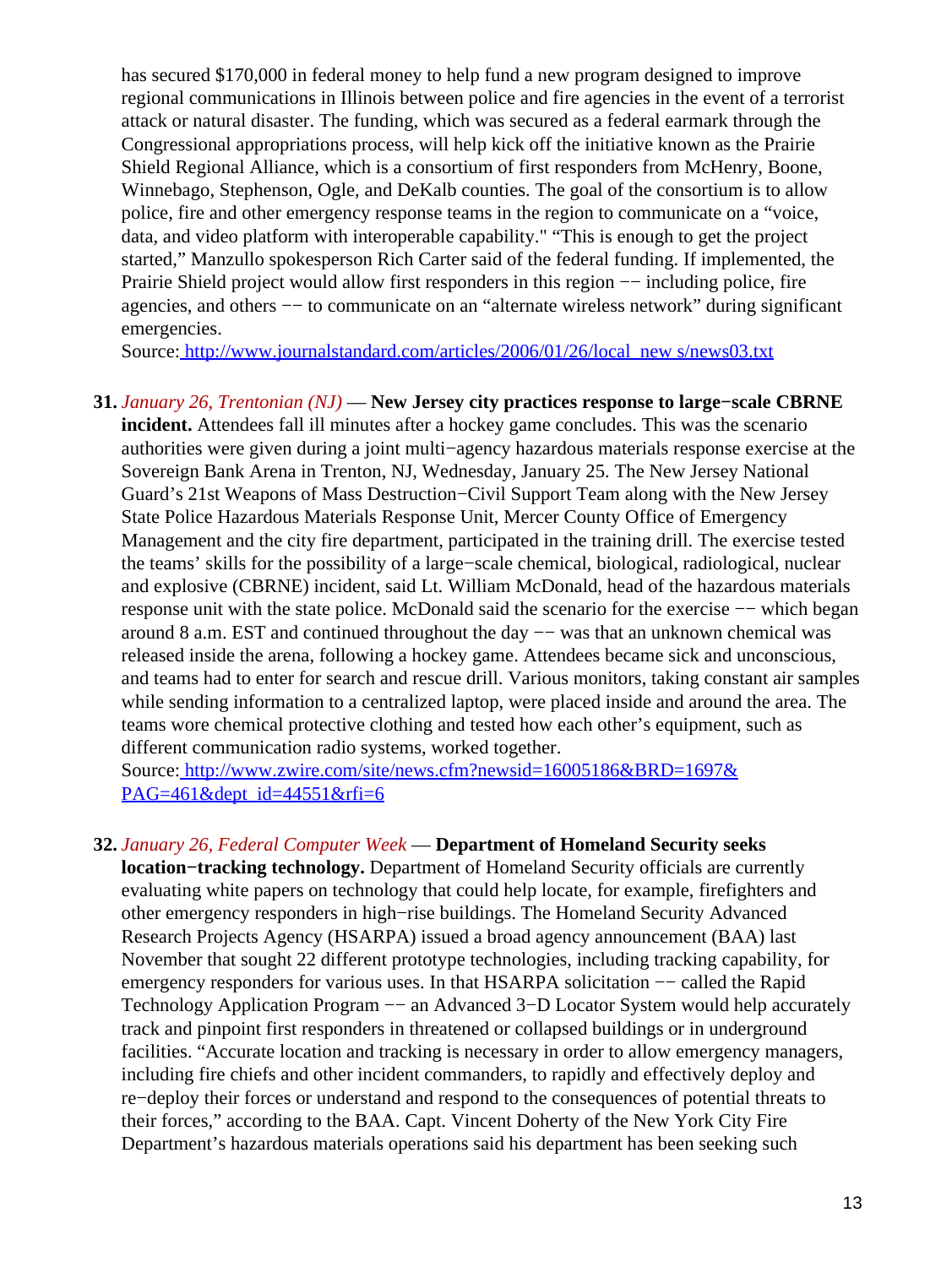has secured \$170,000 in federal money to help fund a new program designed to improve regional communications in Illinois between police and fire agencies in the event of a terrorist attack or natural disaster. The funding, which was secured as a federal earmark through the Congressional appropriations process, will help kick off the initiative known as the Prairie Shield Regional Alliance, which is a consortium of first responders from McHenry, Boone, Winnebago, Stephenson, Ogle, and DeKalb counties. The goal of the consortium is to allow police, fire and other emergency response teams in the region to communicate on a "voice, data, and video platform with interoperable capability." "This is enough to get the project started," Manzullo spokesperson Rich Carter said of the federal funding. If implemented, the Prairie Shield project would allow first responders in this region —− including police, fire agencies, and others −− to communicate on an "alternate wireless network" during significant emergencies.

Source[: http://www.journalstandard.com/articles/2006/01/26/local\\_new s/news03.txt](http://www.journalstandard.com/articles/2006/01/26/local_news/news03.txt)

#### **31.** *January 26, Trentonian (NJ)* — **New Jersey city practices response to large−scale CBRNE**

**incident.** Attendees fall ill minutes after a hockey game concludes. This was the scenario authorities were given during a joint multi−agency hazardous materials response exercise at the Sovereign Bank Arena in Trenton, NJ, Wednesday, January 25. The New Jersey National Guard's 21st Weapons of Mass Destruction−Civil Support Team along with the New Jersey State Police Hazardous Materials Response Unit, Mercer County Office of Emergency Management and the city fire department, participated in the training drill. The exercise tested the teams' skills for the possibility of a large−scale chemical, biological, radiological, nuclear and explosive (CBRNE) incident, said Lt. William McDonald, head of the hazardous materials response unit with the state police. McDonald said the scenario for the exercise −− which began around 8 a.m. EST and continued throughout the day −− was that an unknown chemical was released inside the arena, following a hockey game. Attendees became sick and unconscious, and teams had to enter for search and rescue drill. Various monitors, taking constant air samples while sending information to a centralized laptop, were placed inside and around the area. The teams wore chemical protective clothing and tested how each other's equipment, such as different communication radio systems, worked together.

Source[: http://www.zwire.com/site/news.cfm?newsid=16005186&BRD=1697&](http://www.zwire.com/site/news.cfm?newsid=16005186&BRD=1697&PAG=461&dept_id=44551&rfi=6) [PAG=461&dept\\_id=44551&rfi=6](http://www.zwire.com/site/news.cfm?newsid=16005186&BRD=1697&PAG=461&dept_id=44551&rfi=6)

#### **32.** *January 26, Federal Computer Week* — **Department of Homeland Security seeks**

**location−tracking technology.** Department of Homeland Security officials are currently evaluating white papers on technology that could help locate, for example, firefighters and other emergency responders in high−rise buildings. The Homeland Security Advanced Research Projects Agency (HSARPA) issued a broad agency announcement (BAA) last November that sought 22 different prototype technologies, including tracking capability, for emergency responders for various uses. In that HSARPA solicitation -- called the Rapid Technology Application Program −− an Advanced 3–D Locator System would help accurately track and pinpoint first responders in threatened or collapsed buildings or in underground facilities. "Accurate location and tracking is necessary in order to allow emergency managers, including fire chiefs and other incident commanders, to rapidly and effectively deploy and re−deploy their forces or understand and respond to the consequences of potential threats to their forces," according to the BAA. Capt. Vincent Doherty of the New York City Fire Department's hazardous materials operations said his department has been seeking such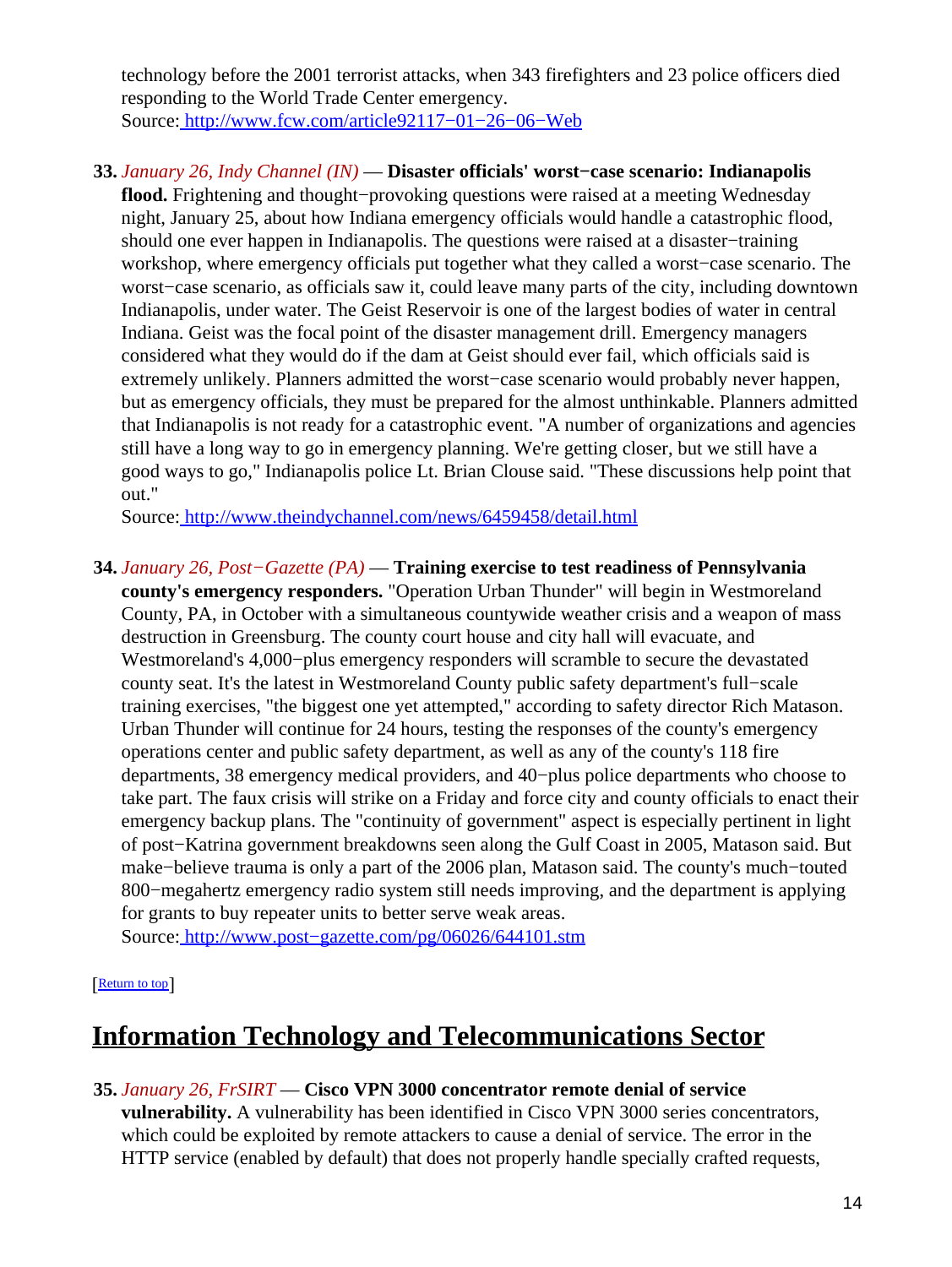technology before the 2001 terrorist attacks, when 343 firefighters and 23 police officers died responding to the World Trade Center emergency. Source[: http://www.fcw.com/article92117−01−26−06−Web](http://www.fcw.com/article92117-01-26-06-Web)

### **33.** *January 26, Indy Channel (IN)* — **Disaster officials' worst−case scenario: Indianapolis**

**flood.** Frightening and thought−provoking questions were raised at a meeting Wednesday night, January 25, about how Indiana emergency officials would handle a catastrophic flood, should one ever happen in Indianapolis. The questions were raised at a disaster−training workshop, where emergency officials put together what they called a worst−case scenario. The worst−case scenario, as officials saw it, could leave many parts of the city, including downtown Indianapolis, under water. The Geist Reservoir is one of the largest bodies of water in central Indiana. Geist was the focal point of the disaster management drill. Emergency managers considered what they would do if the dam at Geist should ever fail, which officials said is extremely unlikely. Planners admitted the worst−case scenario would probably never happen, but as emergency officials, they must be prepared for the almost unthinkable. Planners admitted that Indianapolis is not ready for a catastrophic event. "A number of organizations and agencies still have a long way to go in emergency planning. We're getting closer, but we still have a good ways to go," Indianapolis police Lt. Brian Clouse said. "These discussions help point that out."

Source[: http://www.theindychannel.com/news/6459458/detail.html](http://www.theindychannel.com/news/6459458/detail.html)

### **34.** *January 26, Post−Gazette (PA)* — **Training exercise to test readiness of Pennsylvania**

**county's emergency responders.** "Operation Urban Thunder" will begin in Westmoreland County, PA, in October with a simultaneous countywide weather crisis and a weapon of mass destruction in Greensburg. The county court house and city hall will evacuate, and Westmoreland's 4,000−plus emergency responders will scramble to secure the devastated county seat. It's the latest in Westmoreland County public safety department's full−scale training exercises, "the biggest one yet attempted," according to safety director Rich Matason. Urban Thunder will continue for 24 hours, testing the responses of the county's emergency operations center and public safety department, as well as any of the county's 118 fire departments, 38 emergency medical providers, and 40−plus police departments who choose to take part. The faux crisis will strike on a Friday and force city and county officials to enact their emergency backup plans. The "continuity of government" aspect is especially pertinent in light of post−Katrina government breakdowns seen along the Gulf Coast in 2005, Matason said. But make−believe trauma is only a part of the 2006 plan, Matason said. The county's much−touted 800−megahertz emergency radio system still needs improving, and the department is applying for grants to buy repeater units to better serve weak areas.

Source[: http://www.post−gazette.com/pg/06026/644101.stm](http://www.post-gazette.com/pg/06026/644101.stm)

#### [[Return to top](#page-0-1)]

# <span id="page-13-0"></span>**Information Technology and Telecommunications Sector**

### **35.** *January 26, FrSIRT* — **Cisco VPN 3000 concentrator remote denial of service**

**vulnerability.** A vulnerability has been identified in Cisco VPN 3000 series concentrators, which could be exploited by remote attackers to cause a denial of service. The error in the HTTP service (enabled by default) that does not properly handle specially crafted requests,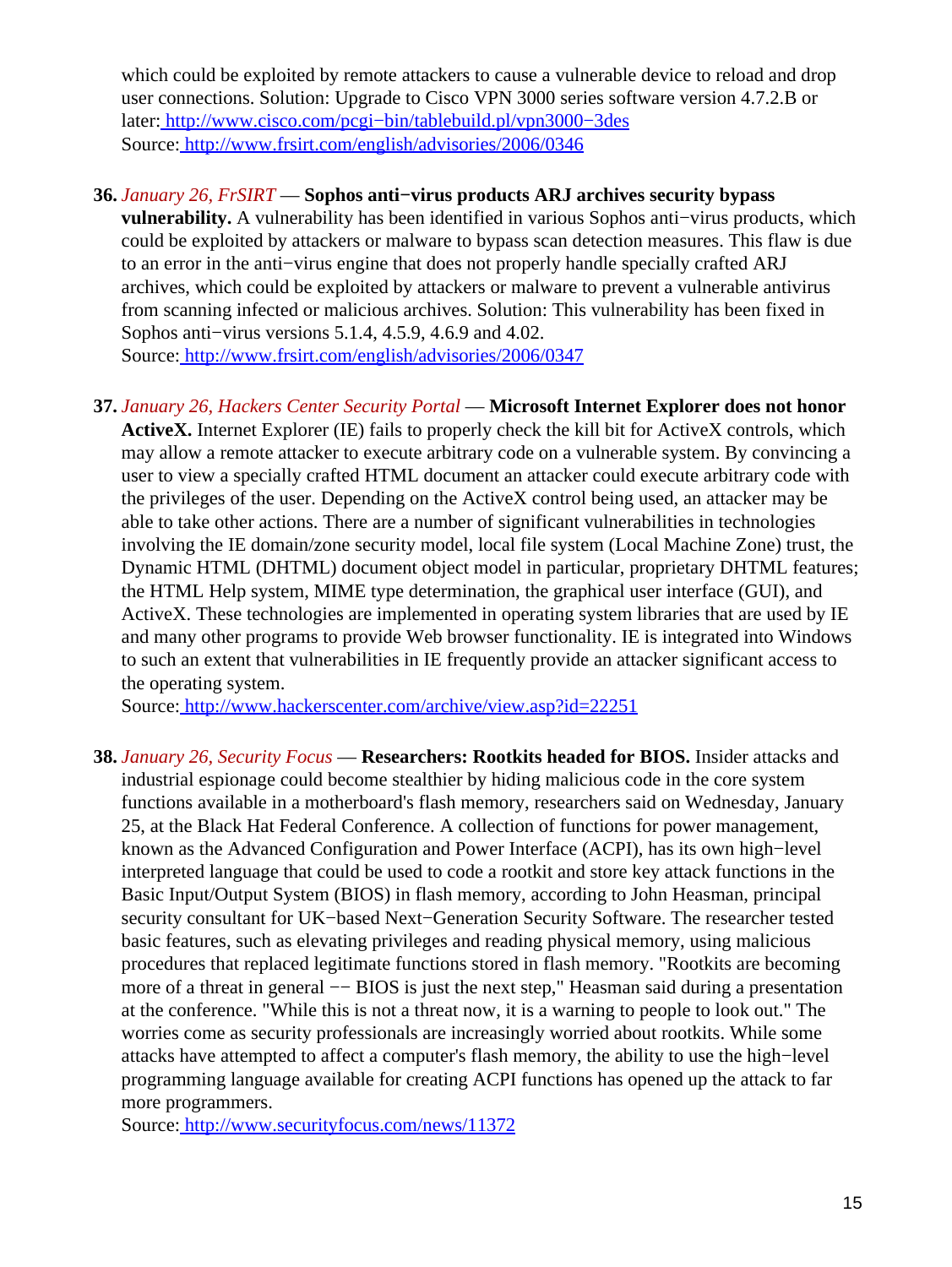which could be exploited by remote attackers to cause a vulnerable device to reload and drop user connections. Solution: Upgrade to Cisco VPN 3000 series software version 4.7.2.B or later[: http://www.cisco.com/pcgi−bin/tablebuild.pl/vpn3000−3des](http://www.cisco.com/pcgi-bin/tablebuild.pl/vpn3000-3des) Source[: http://www.frsirt.com/english/advisories/2006/0346](http://www.frsirt.com/english/advisories/2006/0346)

### **36.** *January 26, FrSIRT* — **Sophos anti−virus products ARJ archives security bypass**

**vulnerability.** A vulnerability has been identified in various Sophos anti−virus products, which could be exploited by attackers or malware to bypass scan detection measures. This flaw is due to an error in the anti−virus engine that does not properly handle specially crafted ARJ archives, which could be exploited by attackers or malware to prevent a vulnerable antivirus from scanning infected or malicious archives. Solution: This vulnerability has been fixed in Sophos anti−virus versions 5.1.4, 4.5.9, 4.6.9 and 4.02. Source[: http://www.frsirt.com/english/advisories/2006/0347](http://www.frsirt.com/english/advisories/2006/0347)

**37.** *January 26, Hackers Center Security Portal* — **Microsoft Internet Explorer does not honor ActiveX.** Internet Explorer (IE) fails to properly check the kill bit for ActiveX controls, which may allow a remote attacker to execute arbitrary code on a vulnerable system. By convincing a user to view a specially crafted HTML document an attacker could execute arbitrary code with the privileges of the user. Depending on the ActiveX control being used, an attacker may be able to take other actions. There are a number of significant vulnerabilities in technologies involving the IE domain/zone security model, local file system (Local Machine Zone) trust, the Dynamic HTML (DHTML) document object model in particular, proprietary DHTML features; the HTML Help system, MIME type determination, the graphical user interface (GUI), and ActiveX. These technologies are implemented in operating system libraries that are used by IE and many other programs to provide Web browser functionality. IE is integrated into Windows to such an extent that vulnerabilities in IE frequently provide an attacker significant access to the operating system.

Source[: http://www.hackerscenter.com/archive/view.asp?id=22251](http://www.hackerscenter.com/archive/view.asp?id=22251)

**38.** *January 26, Security Focus* — **Researchers: Rootkits headed for BIOS.** Insider attacks and industrial espionage could become stealthier by hiding malicious code in the core system functions available in a motherboard's flash memory, researchers said on Wednesday, January 25, at the Black Hat Federal Conference. A collection of functions for power management, known as the Advanced Configuration and Power Interface (ACPI), has its own high−level interpreted language that could be used to code a rootkit and store key attack functions in the Basic Input/Output System (BIOS) in flash memory, according to John Heasman, principal security consultant for UK−based Next−Generation Security Software. The researcher tested basic features, such as elevating privileges and reading physical memory, using malicious procedures that replaced legitimate functions stored in flash memory. "Rootkits are becoming more of a threat in general — BIOS is just the next step," Heasman said during a presentation at the conference. "While this is not a threat now, it is a warning to people to look out." The worries come as security professionals are increasingly worried about rootkits. While some attacks have attempted to affect a computer's flash memory, the ability to use the high−level programming language available for creating ACPI functions has opened up the attack to far more programmers.

Source[: http://www.securityfocus.com/news/11372](http://www.securityfocus.com/news/11372)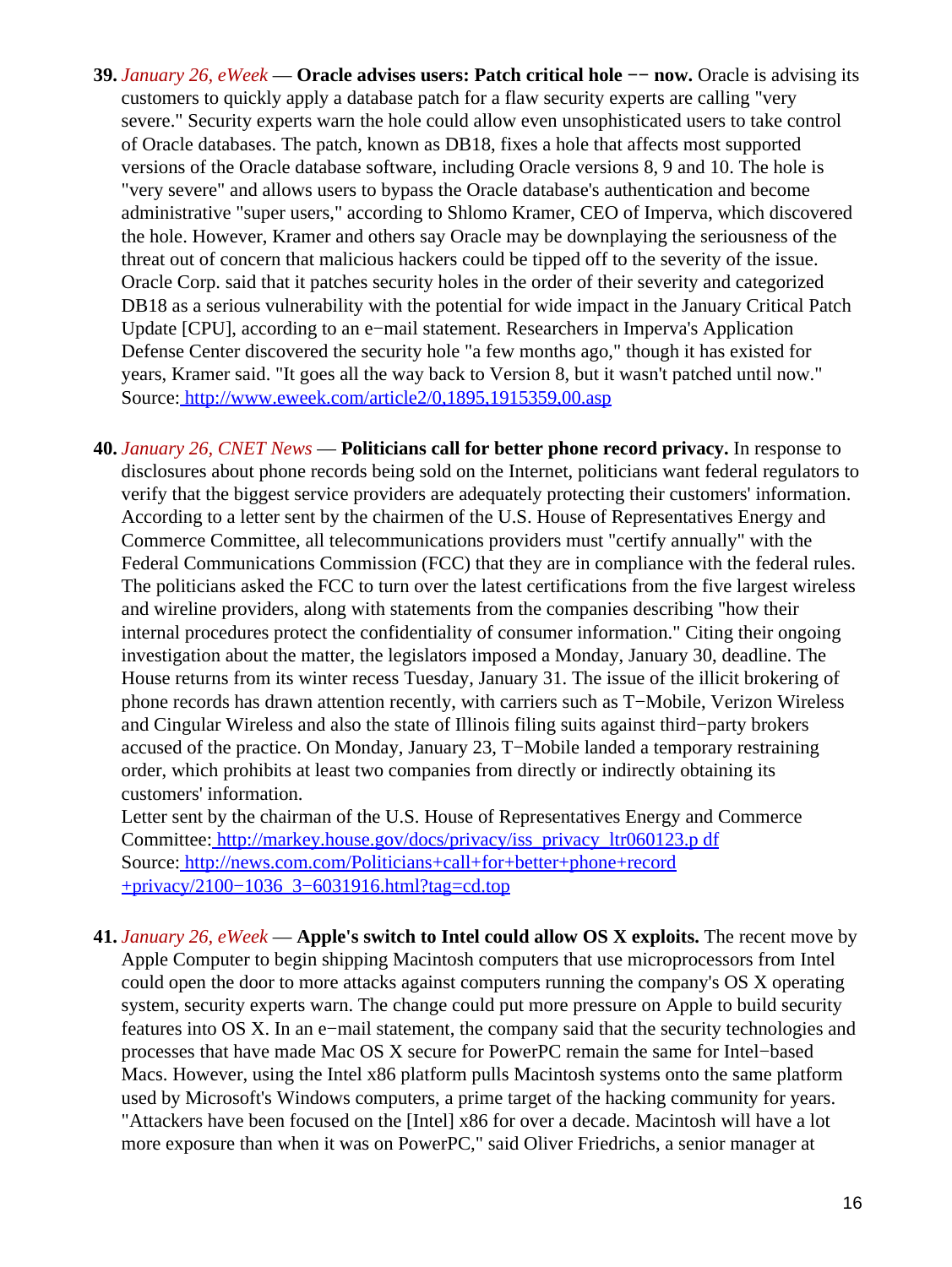- **39.** *January 26, eWeek* — **Oracle advises users: Patch critical hole −− now.** Oracle is advising its customers to quickly apply a database patch for a flaw security experts are calling "very severe." Security experts warn the hole could allow even unsophisticated users to take control of Oracle databases. The patch, known as DB18, fixes a hole that affects most supported versions of the Oracle database software, including Oracle versions 8, 9 and 10. The hole is "very severe" and allows users to bypass the Oracle database's authentication and become administrative "super users," according to Shlomo Kramer, CEO of Imperva, which discovered the hole. However, Kramer and others say Oracle may be downplaying the seriousness of the threat out of concern that malicious hackers could be tipped off to the severity of the issue. Oracle Corp. said that it patches security holes in the order of their severity and categorized DB18 as a serious vulnerability with the potential for wide impact in the January Critical Patch Update [CPU], according to an e−mail statement. Researchers in Imperva's Application Defense Center discovered the security hole "a few months ago," though it has existed for years, Kramer said. "It goes all the way back to Version 8, but it wasn't patched until now." Source[: http://www.eweek.com/article2/0,1895,1915359,00.asp](http://www.eweek.com/article2/0,1895,1915359,00.asp)
- **40.** *January 26, CNET News* — **Politicians call for better phone record privacy.** In response to disclosures about phone records being sold on the Internet, politicians want federal regulators to verify that the biggest service providers are adequately protecting their customers' information. According to a letter sent by the chairmen of the U.S. House of Representatives Energy and Commerce Committee, all telecommunications providers must "certify annually" with the Federal Communications Commission (FCC) that they are in compliance with the federal rules. The politicians asked the FCC to turn over the latest certifications from the five largest wireless and wireline providers, along with statements from the companies describing "how their internal procedures protect the confidentiality of consumer information." Citing their ongoing investigation about the matter, the legislators imposed a Monday, January 30, deadline. The House returns from its winter recess Tuesday, January 31. The issue of the illicit brokering of phone records has drawn attention recently, with carriers such as T−Mobile, Verizon Wireless and Cingular Wireless and also the state of Illinois filing suits against third−party brokers accused of the practice. On Monday, January 23, T−Mobile landed a temporary restraining order, which prohibits at least two companies from directly or indirectly obtaining its customers' information.

Letter sent by the chairman of the U.S. House of Representatives Energy and Commerce Committee: [http://markey.house.gov/docs/privacy/iss\\_privacy\\_ltr060123.p df](http://markey.house.gov/docs/privacy/iss_privacy_ltr060123.pdf) Source[: http://news.com.com/Politicians+call+for+better+phone+record](http://news.com.com/Politicians+call+for+better+phone+record+privacy/2100-1036_3-6031916.html?tag=cd.top) [+privacy/2100−1036\\_3−6031916.html?tag=cd.top](http://news.com.com/Politicians+call+for+better+phone+record+privacy/2100-1036_3-6031916.html?tag=cd.top)

**41.** *January 26, eWeek* — **Apple's switch to Intel could allow OS X exploits.** The recent move by Apple Computer to begin shipping Macintosh computers that use microprocessors from Intel could open the door to more attacks against computers running the company's OS X operating system, security experts warn. The change could put more pressure on Apple to build security features into OS X. In an e−mail statement, the company said that the security technologies and processes that have made Mac OS X secure for PowerPC remain the same for Intel−based Macs. However, using the Intel x86 platform pulls Macintosh systems onto the same platform used by Microsoft's Windows computers, a prime target of the hacking community for years. "Attackers have been focused on the [Intel] x86 for over a decade. Macintosh will have a lot more exposure than when it was on PowerPC," said Oliver Friedrichs, a senior manager at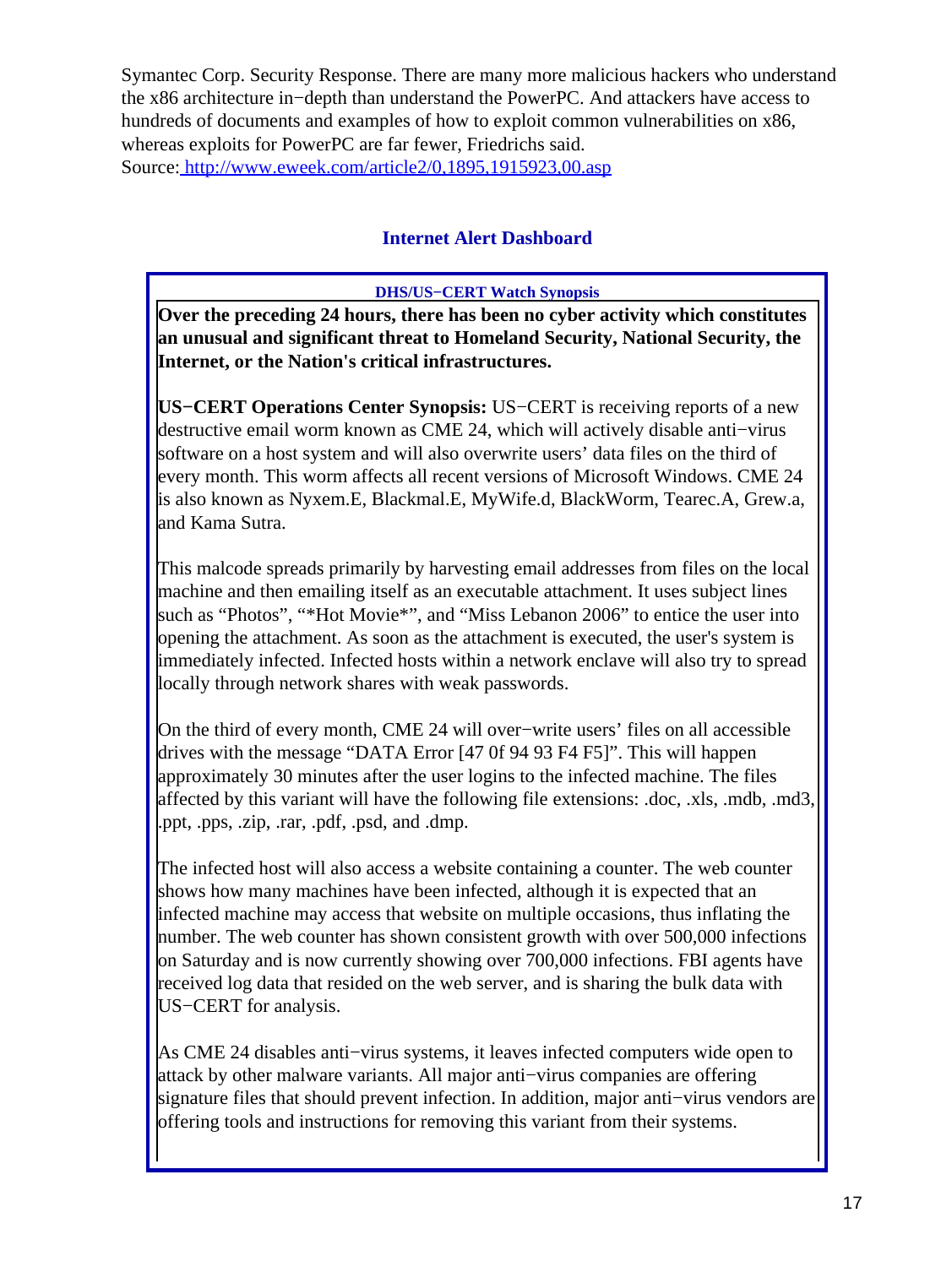Symantec Corp. Security Response. There are many more malicious hackers who understand the x86 architecture in−depth than understand the PowerPC. And attackers have access to hundreds of documents and examples of how to exploit common vulnerabilities on x86, whereas exploits for PowerPC are far fewer, Friedrichs said. Source[: http://www.eweek.com/article2/0,1895,1915923,00.asp](http://www.eweek.com/article2/0,1895,1915923,00.asp)

### **Internet Alert Dashboard**

### **DHS/US−CERT Watch Synopsis**

<span id="page-16-0"></span>**Over the preceding 24 hours, there has been no cyber activity which constitutes an unusual and significant threat to Homeland Security, National Security, the Internet, or the Nation's critical infrastructures.**

**US−CERT Operations Center Synopsis:** US−CERT is receiving reports of a new destructive email worm known as CME 24, which will actively disable anti−virus software on a host system and will also overwrite users' data files on the third of every month. This worm affects all recent versions of Microsoft Windows. CME 24 is also known as Nyxem.E, Blackmal.E, MyWife.d, BlackWorm, Tearec.A, Grew.a, and Kama Sutra.

This malcode spreads primarily by harvesting email addresses from files on the local machine and then emailing itself as an executable attachment. It uses subject lines such as "Photos", "\*Hot Movie\*", and "Miss Lebanon 2006" to entice the user into opening the attachment. As soon as the attachment is executed, the user's system is immediately infected. Infected hosts within a network enclave will also try to spread locally through network shares with weak passwords.

On the third of every month, CME 24 will over−write users' files on all accessible drives with the message "DATA Error [47 0f 94 93 F4 F5]". This will happen approximately 30 minutes after the user logins to the infected machine. The files affected by this variant will have the following file extensions: .doc, .xls, .mdb, .md3, .ppt, .pps, .zip, .rar, .pdf, .psd, and .dmp.

The infected host will also access a website containing a counter. The web counter shows how many machines have been infected, although it is expected that an infected machine may access that website on multiple occasions, thus inflating the number. The web counter has shown consistent growth with over 500,000 infections on Saturday and is now currently showing over 700,000 infections. FBI agents have received log data that resided on the web server, and is sharing the bulk data with US−CERT for analysis.

As CME 24 disables anti−virus systems, it leaves infected computers wide open to attack by other malware variants. All major anti−virus companies are offering signature files that should prevent infection. In addition, major anti–virus vendors are offering tools and instructions for removing this variant from their systems.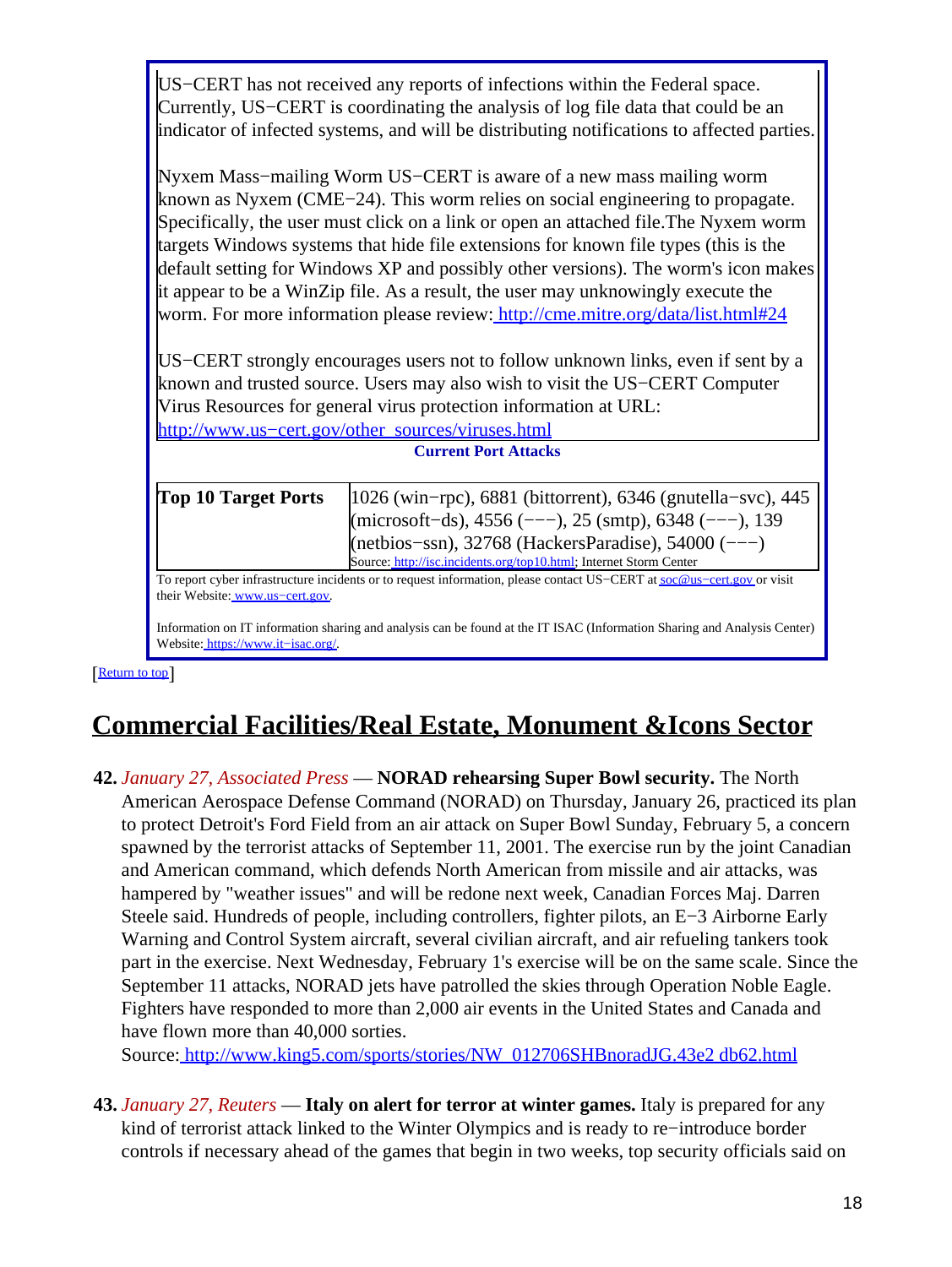| US–CERT has not received any reports of infections within the Federal space.<br>Currently, US–CERT is coordinating the analysis of log file data that could be an<br>indicator of infected systems, and will be distributing notifications to affected parties.                                                                     |                                                                                                                                                                                                                                                        |  |
|-------------------------------------------------------------------------------------------------------------------------------------------------------------------------------------------------------------------------------------------------------------------------------------------------------------------------------------|--------------------------------------------------------------------------------------------------------------------------------------------------------------------------------------------------------------------------------------------------------|--|
| Nyxem Mass-mailing Worm US-CERT is aware of a new mass mailing worm<br>known as Nyxem (CME–24). This worm relies on social engineering to propagate.<br>Specifically, the user must click on a link or open an attached file. The Nyxem worm<br>targets Windows systems that hide file extensions for known file types (this is the |                                                                                                                                                                                                                                                        |  |
| default setting for Windows XP and possibly other versions). The worm's icon makes<br>it appear to be a WinZip file. As a result, the user may unknowingly execute the<br>worm. For more information please review: http://cme.mitre.org/data/list.html#24                                                                          |                                                                                                                                                                                                                                                        |  |
| US–CERT strongly encourages users not to follow unknown links, even if sent by a<br>known and trusted source. Users may also wish to visit the US-CERT Computer<br>Virus Resources for general virus protection information at URL:                                                                                                 |                                                                                                                                                                                                                                                        |  |
| http://www.us-cert.gov/other_sources/viruses.html<br><b>Current Port Attacks</b>                                                                                                                                                                                                                                                    |                                                                                                                                                                                                                                                        |  |
|                                                                                                                                                                                                                                                                                                                                     |                                                                                                                                                                                                                                                        |  |
| Top 10 Target Ports                                                                                                                                                                                                                                                                                                                 | 1026 (win-rpc), 6881 (bittorrent), 6346 (gnutella-svc), 445<br>(microsoft-ds), 4556 (---), 25 (smtp), 6348 (---), 139<br>$(net bios-ssn),$ 32768 (HackersParadise), 54000 $(--)$<br>Source: http://isc.incidents.org/top10.html; Internet Storm Center |  |
| To report cyber infrastructure incidents or to request information, please contact US-CERT at soc@us-cert.gov or visit<br>their Website: www.us-cert.gov.                                                                                                                                                                           |                                                                                                                                                                                                                                                        |  |
| Information on IT information sharing and analysis can be found at the IT ISAC (Information Sharing and Analysis Center)<br>Website: https://www.it-isac.org/.                                                                                                                                                                      |                                                                                                                                                                                                                                                        |  |

**[Return to top](#page-0-1)** 

# <span id="page-17-0"></span>**Commercial Facilities/Real Estate, Monument &Icons Sector**

**42.** *January 27, Associated Press* — **NORAD rehearsing Super Bowl security.** The North American Aerospace Defense Command (NORAD) on Thursday, January 26, practiced its plan to protect Detroit's Ford Field from an air attack on Super Bowl Sunday, February 5, a concern spawned by the terrorist attacks of September 11, 2001. The exercise run by the joint Canadian and American command, which defends North American from missile and air attacks, was hampered by "weather issues" and will be redone next week, Canadian Forces Maj. Darren Steele said. Hundreds of people, including controllers, fighter pilots, an E−3 Airborne Early Warning and Control System aircraft, several civilian aircraft, and air refueling tankers took part in the exercise. Next Wednesday, February 1's exercise will be on the same scale. Since the September 11 attacks, NORAD jets have patrolled the skies through Operation Noble Eagle. Fighters have responded to more than 2,000 air events in the United States and Canada and have flown more than 40,000 sorties.

Source[: http://www.king5.com/sports/stories/NW\\_012706SHBnoradJG.43e2 db62.html](http://www.king5.com/sports/stories/NW_012706SHBnoradJG.43e2db62.html)

**43.** *January 27, Reuters* — **Italy on alert for terror at winter games.** Italy is prepared for any kind of terrorist attack linked to the Winter Olympics and is ready to re−introduce border controls if necessary ahead of the games that begin in two weeks, top security officials said on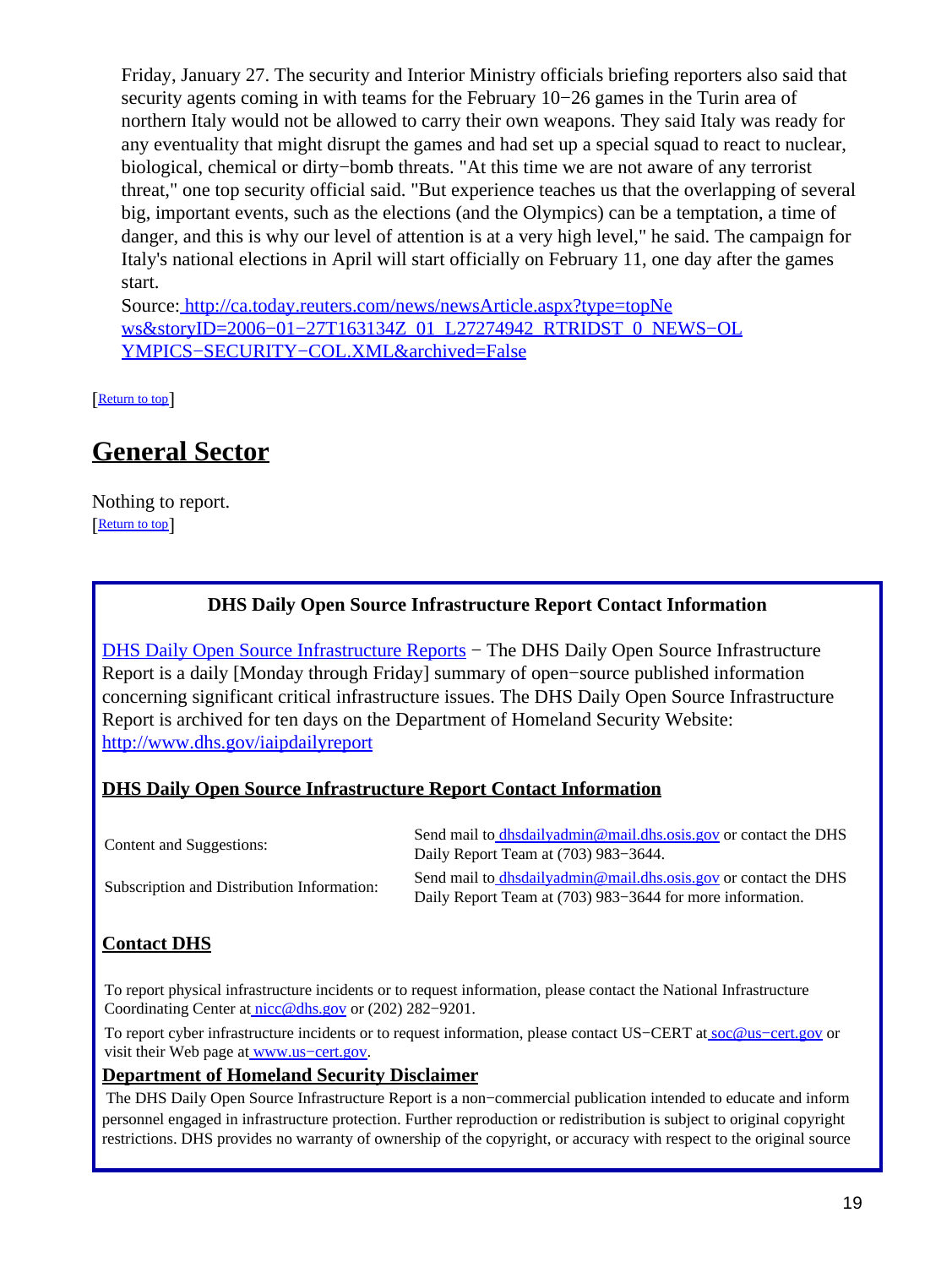Friday, January 27. The security and Interior Ministry officials briefing reporters also said that security agents coming in with teams for the February 10−26 games in the Turin area of northern Italy would not be allowed to carry their own weapons. They said Italy was ready for any eventuality that might disrupt the games and had set up a special squad to react to nuclear, biological, chemical or dirty−bomb threats. "At this time we are not aware of any terrorist threat," one top security official said. "But experience teaches us that the overlapping of several big, important events, such as the elections (and the Olympics) can be a temptation, a time of danger, and this is why our level of attention is at a very high level," he said. The campaign for Italy's national elections in April will start officially on February 11, one day after the games start.

Source[: http://ca.today.reuters.com/news/newsArticle.aspx?type=topNe](http://ca.today.reuters.com/news/newsArticle.aspx?type=topNews&storyID=2006-01-27T163134Z_01_L27274942_RTRIDST_0_NEWS-OLYMPICS-SECURITY-COL.XML&archived=False) ws&storyID=2006-01-27T163134Z\_01\_L27274942\_RTRIDST\_0\_NEWS-OL [YMPICS−SECURITY−COL.XML&archived=False](http://ca.today.reuters.com/news/newsArticle.aspx?type=topNews&storyID=2006-01-27T163134Z_01_L27274942_RTRIDST_0_NEWS-OLYMPICS-SECURITY-COL.XML&archived=False)

[[Return to top](#page-0-1)]

# <span id="page-18-0"></span>**General Sector**

Nothing to report. [[Return to top](#page-0-1)]

### **DHS Daily Open Source Infrastructure Report Contact Information**

<span id="page-18-1"></span>[DHS Daily Open Source Infrastructure Reports](http://www.dhs.gov/iaipdailyreport) – The DHS Daily Open Source Infrastructure Report is a daily [Monday through Friday] summary of open−source published information concerning significant critical infrastructure issues. The DHS Daily Open Source Infrastructure Report is archived for ten days on the Department of Homeland Security Website: <http://www.dhs.gov/iaipdailyreport>

### **DHS Daily Open Source Infrastructure Report Contact Information**

| Content and Suggestions:                   | Send mail to dhsdailyadmin@mail.dhs.osis.gov or contact the DHS<br>Daily Report Team at (703) 983–3644.                      |
|--------------------------------------------|------------------------------------------------------------------------------------------------------------------------------|
| Subscription and Distribution Information: | Send mail to dhsdailyadmin@mail.dhs.osis.gov or contact the DHS<br>Daily Report Team at (703) 983–3644 for more information. |

### **Contact DHS**

To report physical infrastructure incidents or to request information, please contact the National Infrastructure Coordinating Center at [nicc@dhs.gov](mailto:nicc@dhs.gov) or (202) 282−9201.

To report cyber infrastructure incidents or to request information, please contact US–CERT at soc@us–cert.gov or visit their Web page at www.us−cert.gov.

#### **Department of Homeland Security Disclaimer**

 The DHS Daily Open Source Infrastructure Report is a non−commercial publication intended to educate and inform personnel engaged in infrastructure protection. Further reproduction or redistribution is subject to original copyright restrictions. DHS provides no warranty of ownership of the copyright, or accuracy with respect to the original source